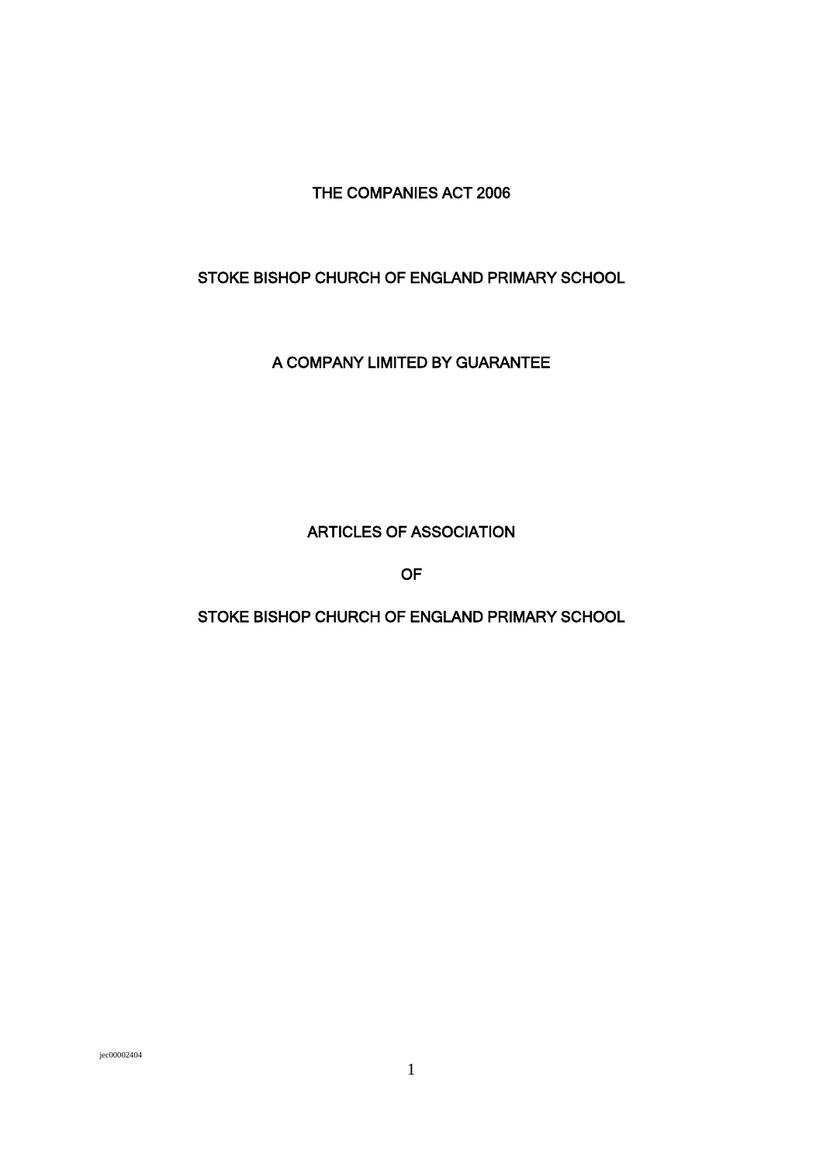THE COMPANIES ACT 2006

# STOKE BISHOP CHURCH OF ENGLAND PRIMARY SCHOOL

A COMPANY LIMITED BY GUARANTEE

ARTICLES OF ASSOCIATION

OF

STOKE BISHOP CHURCH OF ENGLAND PRIMARY SCHOOL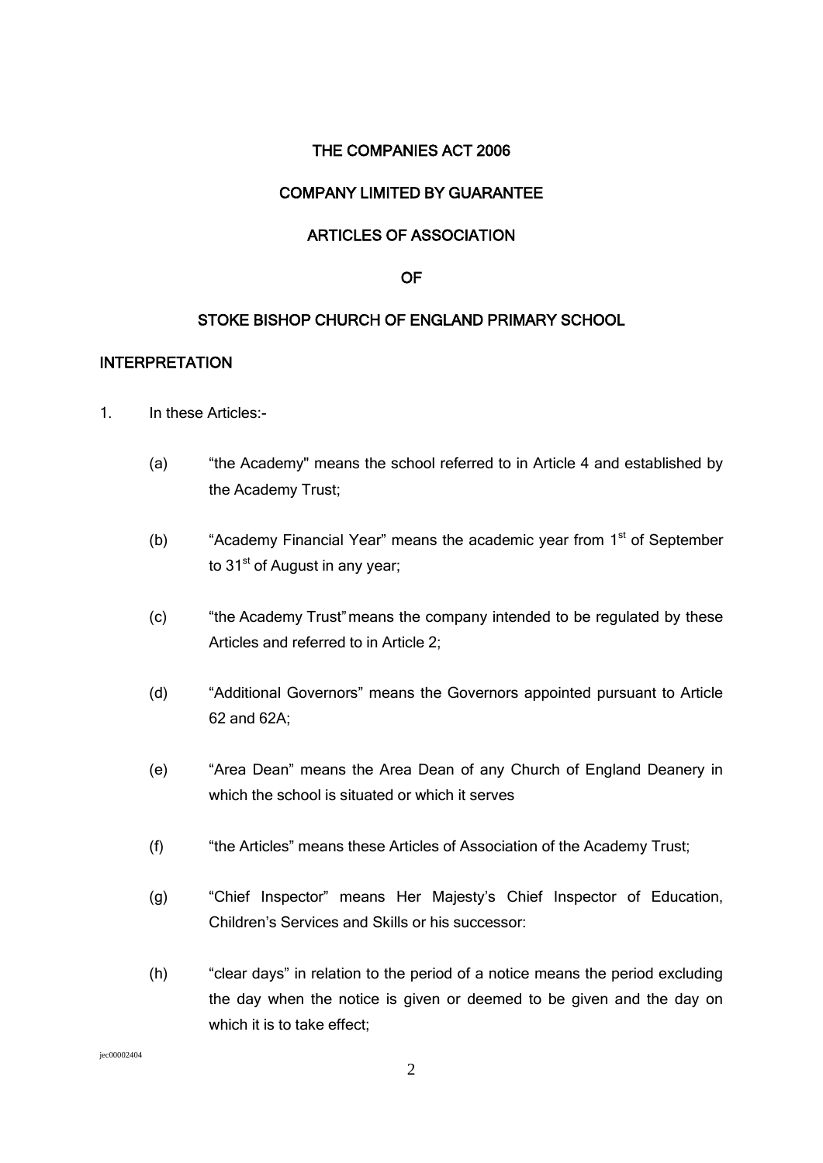### THE COMPANIES ACT 2006

## COMPANY LIMITED BY GUARANTEE

### ARTICLES OF ASSOCIATION

#### OF

### STOKE BISHOP CHURCH OF ENGLAND PRIMARY SCHOOL

#### INTERPRETATION

- 1. In these Articles:-
	- (a) "the Academy" means the school referred to in Article 4 and established by the Academy Trust;
	- (b) "Academy Financial Year" means the academic year from  $1<sup>st</sup>$  of September to 31<sup>st</sup> of August in any year;
	- (c) "the Academy Trust"means the company intended to be regulated by these Articles and referred to in Article 2;
	- (d) "Additional Governors" means the Governors appointed pursuant to Article 62 and 62A;
	- (e) "Area Dean" means the Area Dean of any Church of England Deanery in which the school is situated or which it serves
	- (f) "the Articles" means these Articles of Association of the Academy Trust;
	- (g) "Chief Inspector" means Her Majesty's Chief Inspector of Education, Children's Services and Skills or his successor:
	- (h) "clear days" in relation to the period of a notice means the period excluding the day when the notice is given or deemed to be given and the day on which it is to take effect;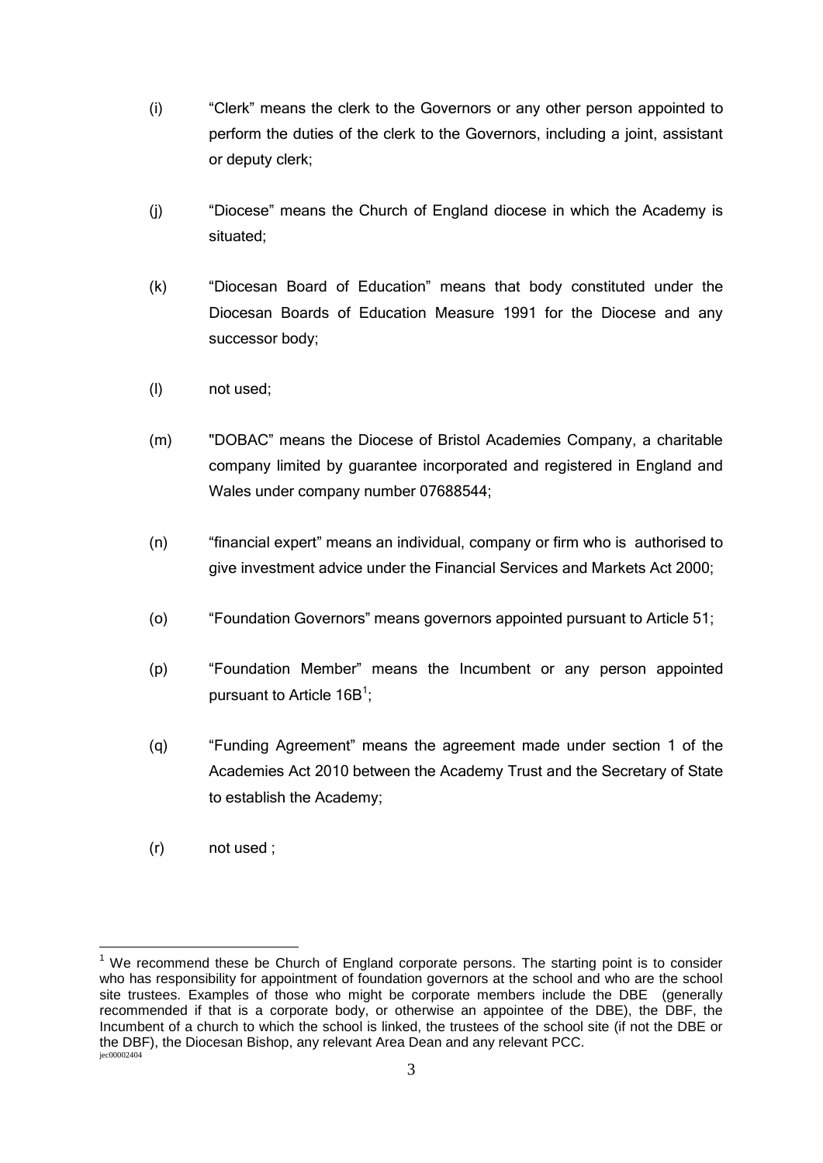- (i) "Clerk" means the clerk to the Governors or any other person appointed to perform the duties of the clerk to the Governors, including a joint, assistant or deputy clerk;
- (j) "Diocese" means the Church of England diocese in which the Academy is situated;
- (k) "Diocesan Board of Education" means that body constituted under the Diocesan Boards of Education Measure 1991 for the Diocese and any successor body;
- (l) not used;
- (m) "DOBAC" means the Diocese of Bristol Academies Company, a charitable company limited by guarantee incorporated and registered in England and Wales under company number 07688544;
- (n) "financial expert" means an individual, company or firm who is authorised to give investment advice under the Financial Services and Markets Act 2000;
- (o) "Foundation Governors" means governors appointed pursuant to Article 51;
- (p) "Foundation Member" means the Incumbent or any person appointed pursuant to Article  $16B^1$ ;
- (q) "Funding Agreement" means the agreement made under section 1 of the Academies Act 2010 between the Academy Trust and the Secretary of State to establish the Academy;
- (r) not used ;

1

jec00002404  $1$  We recommend these be Church of England corporate persons. The starting point is to consider who has responsibility for appointment of foundation governors at the school and who are the school site trustees. Examples of those who might be corporate members include the DBE (generally recommended if that is a corporate body, or otherwise an appointee of the DBE), the DBF, the Incumbent of a church to which the school is linked, the trustees of the school site (if not the DBE or the DBF), the Diocesan Bishop, any relevant Area Dean and any relevant PCC.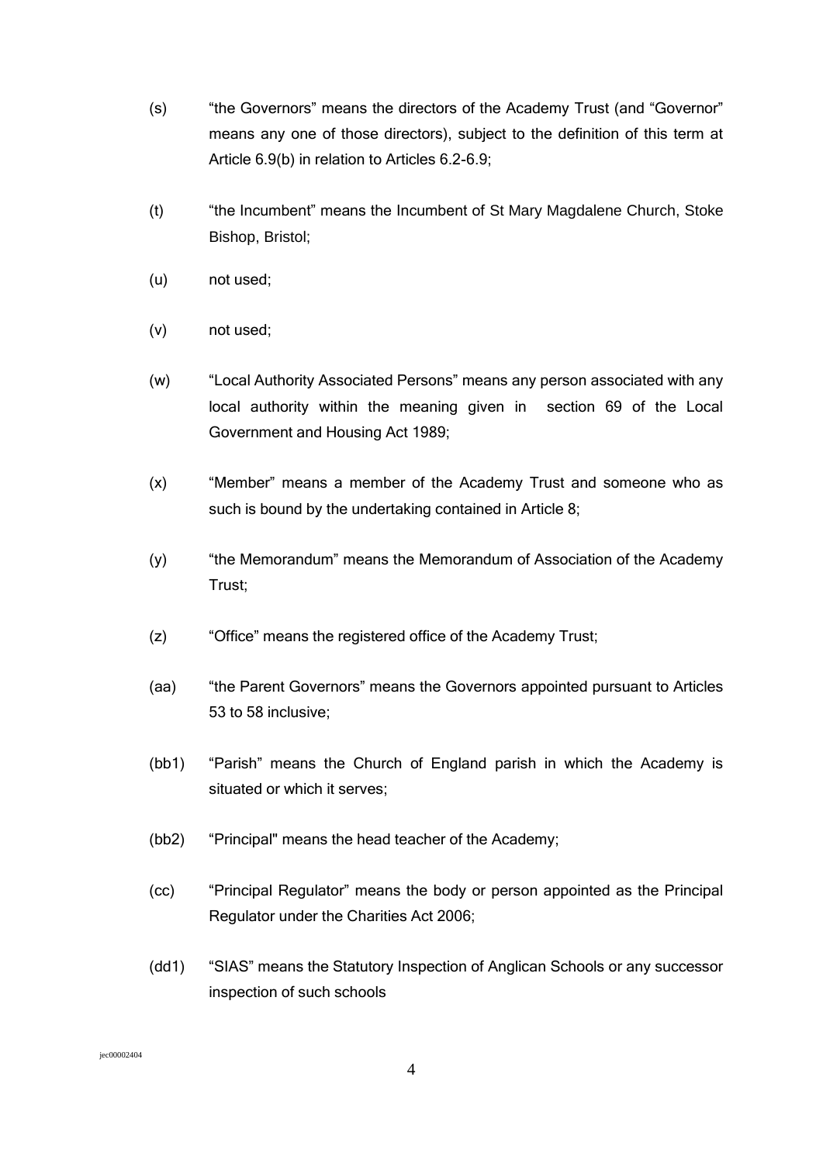- (s) "the Governors" means the directors of the Academy Trust (and "Governor" means any one of those directors), subject to the definition of this term at Article 6.9(b) in relation to Articles 6.2-6.9;
- (t) "the Incumbent" means the Incumbent of St Mary Magdalene Church, Stoke Bishop, Bristol;
- (u) not used;
- (v) not used;
- (w) "Local Authority Associated Persons" means any person associated with any local authority within the meaning given in section 69 of the Local Government and Housing Act 1989;
- (x) "Member" means a member of the Academy Trust and someone who as such is bound by the undertaking contained in Article 8;
- (y) "the Memorandum" means the Memorandum of Association of the Academy Trust;
- (z) "Office" means the registered office of the Academy Trust;
- (aa) "the Parent Governors" means the Governors appointed pursuant to Articles 53 to 58 inclusive;
- (bb1) "Parish" means the Church of England parish in which the Academy is situated or which it serves;
- (bb2) "Principal" means the head teacher of the Academy;
- (cc) "Principal Regulator" means the body or person appointed as the Principal Regulator under the Charities Act 2006;
- (dd1) "SIAS" means the Statutory Inspection of Anglican Schools or any successor inspection of such schools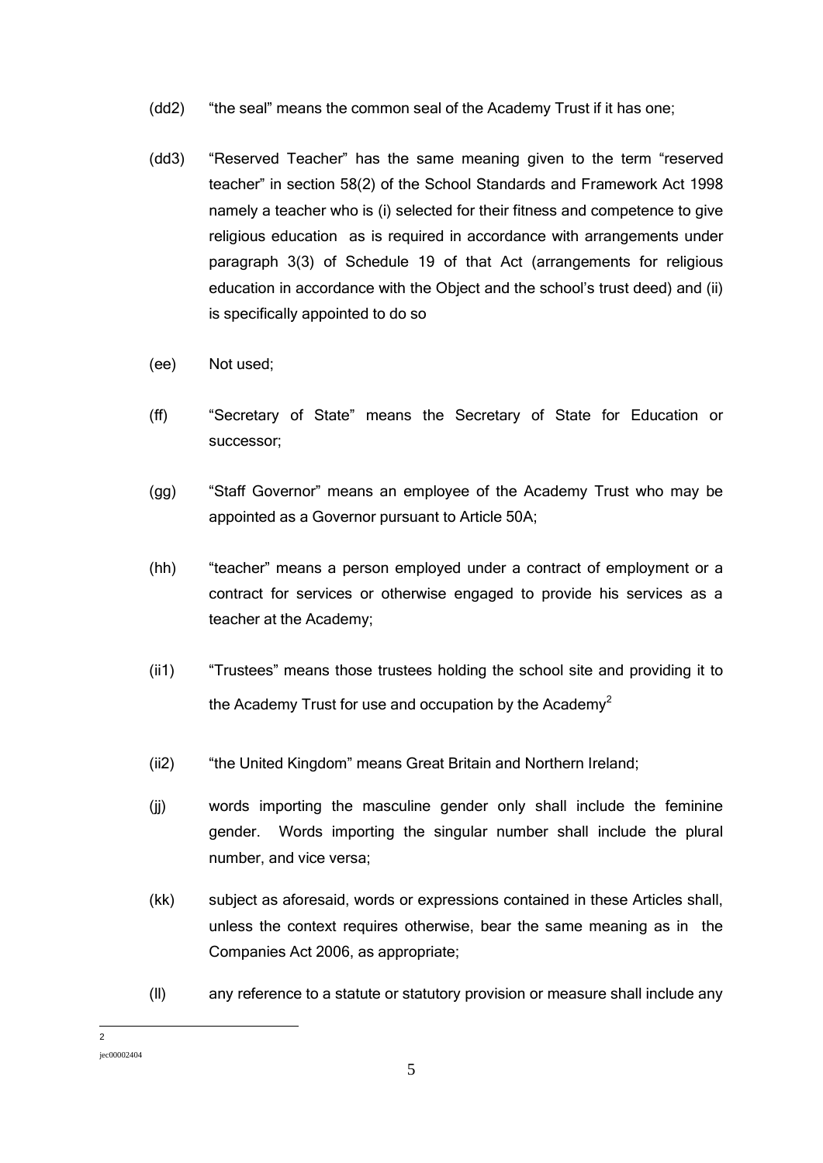- (dd2) "the seal" means the common seal of the Academy Trust if it has one;
- (dd3) "Reserved Teacher" has the same meaning given to the term "reserved teacher" in section 58(2) of the School Standards and Framework Act 1998 namely a teacher who is (i) selected for their fitness and competence to give religious education as is required in accordance with arrangements under paragraph 3(3) of Schedule 19 of that Act (arrangements for religious education in accordance with the Object and the school's trust deed) and (ii) is specifically appointed to do so
- (ee) Not used;
- (ff) "Secretary of State" means the Secretary of State for Education or successor;
- (gg) "Staff Governor" means an employee of the Academy Trust who may be appointed as a Governor pursuant to Article 50A;
- (hh) "teacher" means a person employed under a contract of employment or a contract for services or otherwise engaged to provide his services as a teacher at the Academy;
- (ii1) "Trustees" means those trustees holding the school site and providing it to the Academy Trust for use and occupation by the Academy<sup>2</sup>
- (ii2) "the United Kingdom" means Great Britain and Northern Ireland;
- (jj) words importing the masculine gender only shall include the feminine gender. Words importing the singular number shall include the plural number, and vice versa;
- (kk) subject as aforesaid, words or expressions contained in these Articles shall, unless the context requires otherwise, bear the same meaning as in the Companies Act 2006, as appropriate;
- (ll) any reference to a statute or statutory provision or measure shall include any

 $\frac{1}{2}$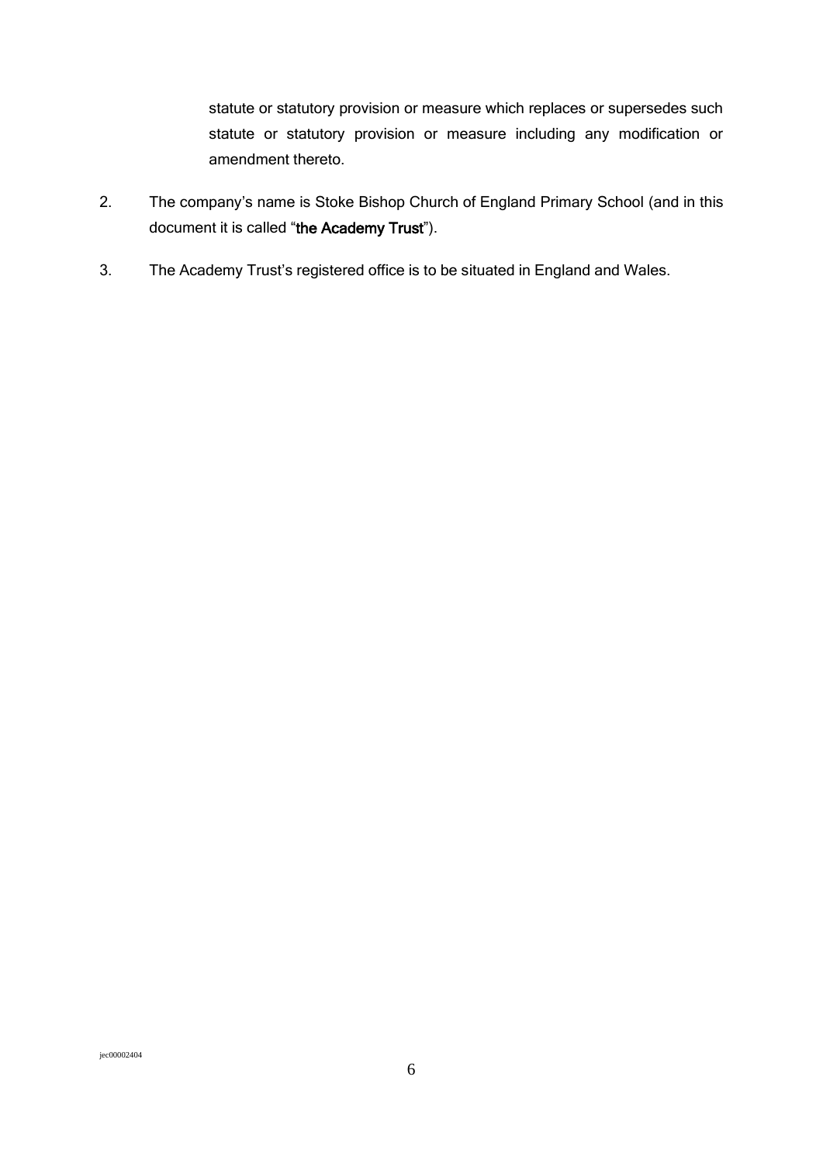statute or statutory provision or measure which replaces or supersedes such statute or statutory provision or measure including any modification or amendment thereto.

- 2. The company's name is Stoke Bishop Church of England Primary School (and in this document it is called "the Academy Trust").
- 3. The Academy Trust's registered office is to be situated in England and Wales.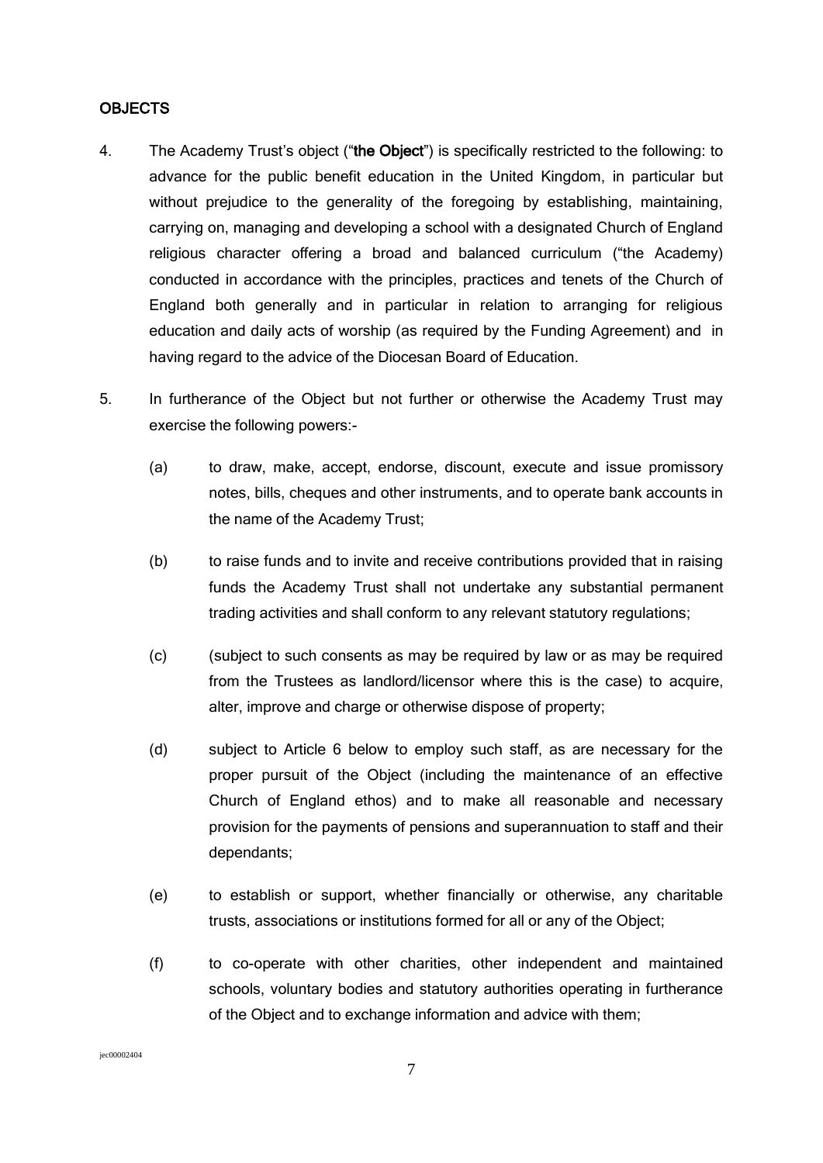#### OBJECTS

- 4. The Academy Trust's object ("the Object") is specifically restricted to the following: to advance for the public benefit education in the United Kingdom, in particular but without prejudice to the generality of the foregoing by establishing, maintaining, carrying on, managing and developing a school with a designated Church of England religious character offering a broad and balanced curriculum ("the Academy) conducted in accordance with the principles, practices and tenets of the Church of England both generally and in particular in relation to arranging for religious education and daily acts of worship (as required by the Funding Agreement) and in having regard to the advice of the Diocesan Board of Education.
- 5. In furtherance of the Object but not further or otherwise the Academy Trust may exercise the following powers:-
	- (a) to draw, make, accept, endorse, discount, execute and issue promissory notes, bills, cheques and other instruments, and to operate bank accounts in the name of the Academy Trust;
	- (b) to raise funds and to invite and receive contributions provided that in raising funds the Academy Trust shall not undertake any substantial permanent trading activities and shall conform to any relevant statutory regulations;
	- (c) (subject to such consents as may be required by law or as may be required from the Trustees as landlord/licensor where this is the case) to acquire, alter, improve and charge or otherwise dispose of property;
	- (d) subject to Article 6 below to employ such staff, as are necessary for the proper pursuit of the Object (including the maintenance of an effective Church of England ethos) and to make all reasonable and necessary provision for the payments of pensions and superannuation to staff and their dependants;
	- (e) to establish or support, whether financially or otherwise, any charitable trusts, associations or institutions formed for all or any of the Object;
	- (f) to co-operate with other charities, other independent and maintained schools, voluntary bodies and statutory authorities operating in furtherance of the Object and to exchange information and advice with them;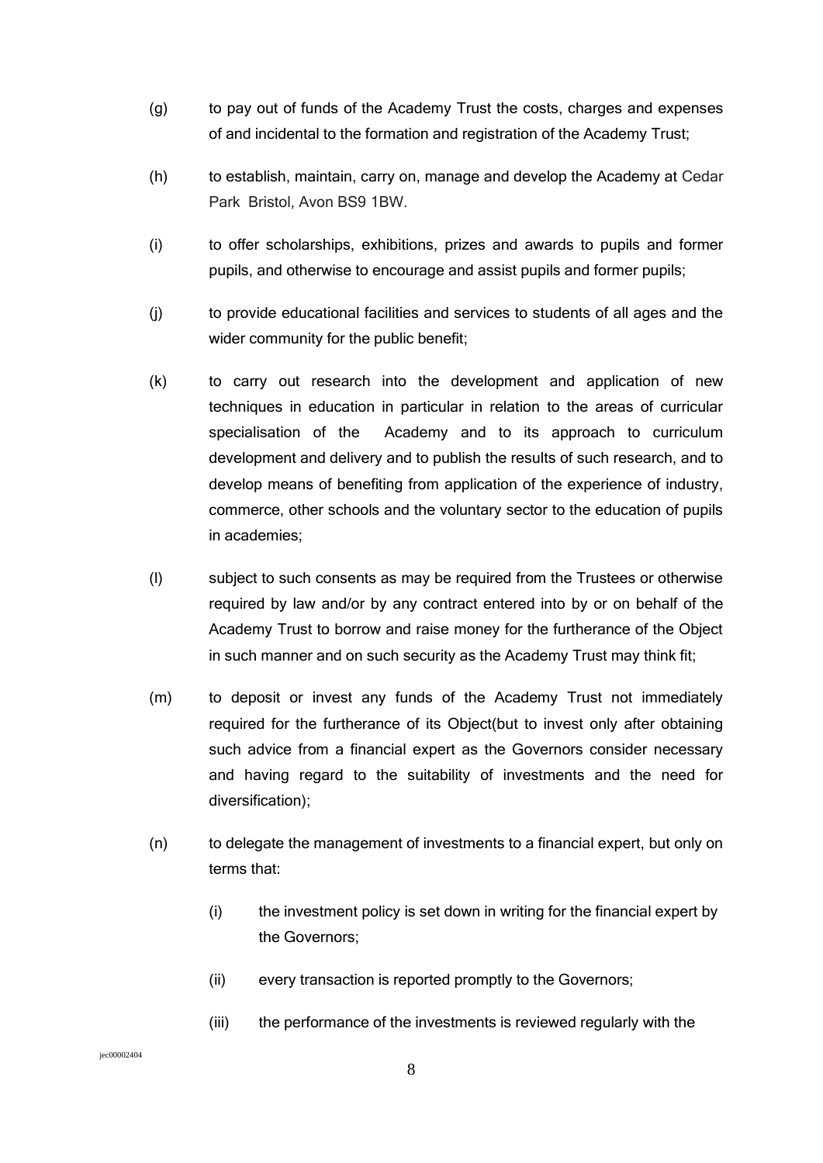- (g) to pay out of funds of the Academy Trust the costs, charges and expenses of and incidental to the formation and registration of the Academy Trust;
- (h) to establish, maintain, carry on, manage and develop the Academy at Cedar Park Bristol, Avon BS9 1BW.
- (i) to offer scholarships, exhibitions, prizes and awards to pupils and former pupils, and otherwise to encourage and assist pupils and former pupils;
- (j) to provide educational facilities and services to students of all ages and the wider community for the public benefit;
- (k) to carry out research into the development and application of new techniques in education in particular in relation to the areas of curricular specialisation of the Academy and to its approach to curriculum development and delivery and to publish the results of such research, and to develop means of benefiting from application of the experience of industry, commerce, other schools and the voluntary sector to the education of pupils in academies;
- (l) subject to such consents as may be required from the Trustees or otherwise required by law and/or by any contract entered into by or on behalf of the Academy Trust to borrow and raise money for the furtherance of the Object in such manner and on such security as the Academy Trust may think fit;
- (m) to deposit or invest any funds of the Academy Trust not immediately required for the furtherance of its Object(but to invest only after obtaining such advice from a financial expert as the Governors consider necessary and having regard to the suitability of investments and the need for diversification);
- (n) to delegate the management of investments to a financial expert, but only on terms that:
	- (i) the investment policy is set down in writing for the financial expert by the Governors;
	- (ii) every transaction is reported promptly to the Governors;
	- (iii) the performance of the investments is reviewed regularly with the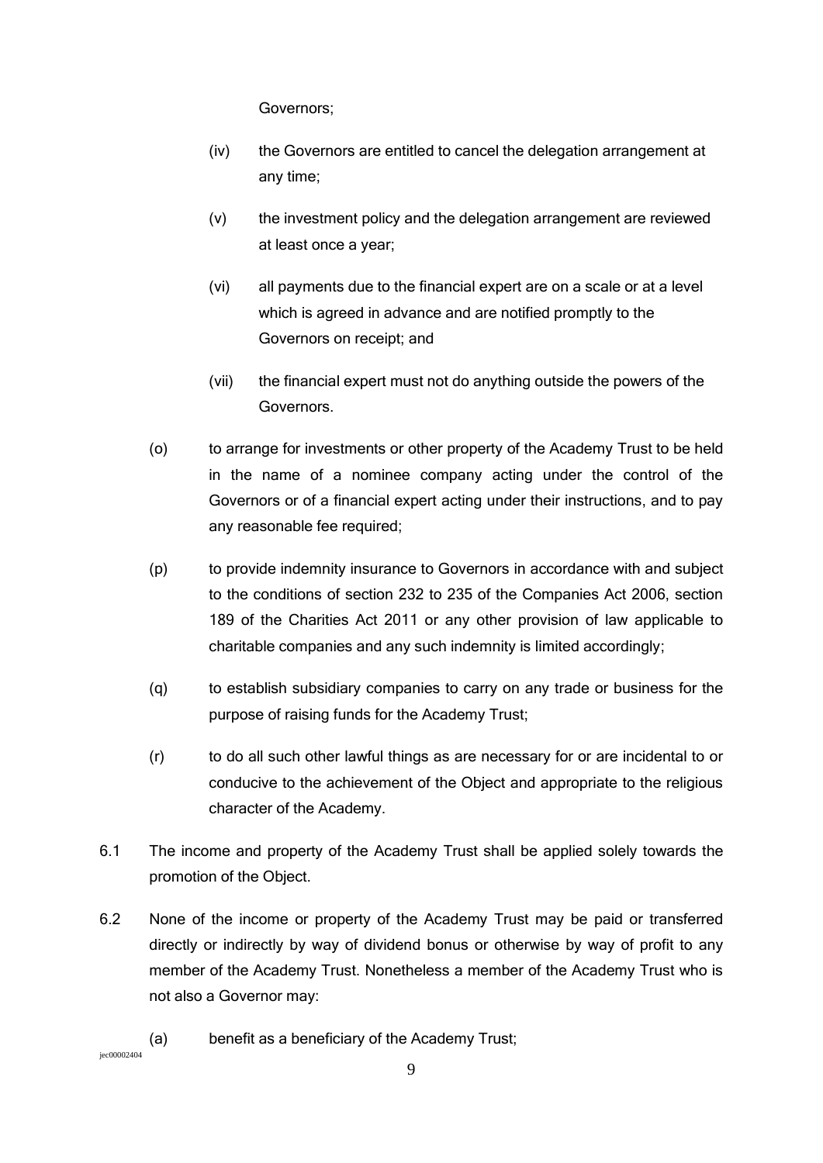Governors;

- (iv) the Governors are entitled to cancel the delegation arrangement at any time;
- (v) the investment policy and the delegation arrangement are reviewed at least once a year;
- (vi) all payments due to the financial expert are on a scale or at a level which is agreed in advance and are notified promptly to the Governors on receipt; and
- (vii) the financial expert must not do anything outside the powers of the Governors.
- (o) to arrange for investments or other property of the Academy Trust to be held in the name of a nominee company acting under the control of the Governors or of a financial expert acting under their instructions, and to pay any reasonable fee required;
- (p) to provide indemnity insurance to Governors in accordance with and subject to the conditions of section 232 to 235 of the Companies Act 2006, section 189 of the Charities Act 2011 or any other provision of law applicable to charitable companies and any such indemnity is limited accordingly;
- (q) to establish subsidiary companies to carry on any trade or business for the purpose of raising funds for the Academy Trust;
- (r) to do all such other lawful things as are necessary for or are incidental to or conducive to the achievement of the Object and appropriate to the religious character of the Academy.
- 6.1 The income and property of the Academy Trust shall be applied solely towards the promotion of the Object.
- 6.2 None of the income or property of the Academy Trust may be paid or transferred directly or indirectly by way of dividend bonus or otherwise by way of profit to any member of the Academy Trust. Nonetheless a member of the Academy Trust who is not also a Governor may:

### (a) benefit as a beneficiary of the Academy Trust;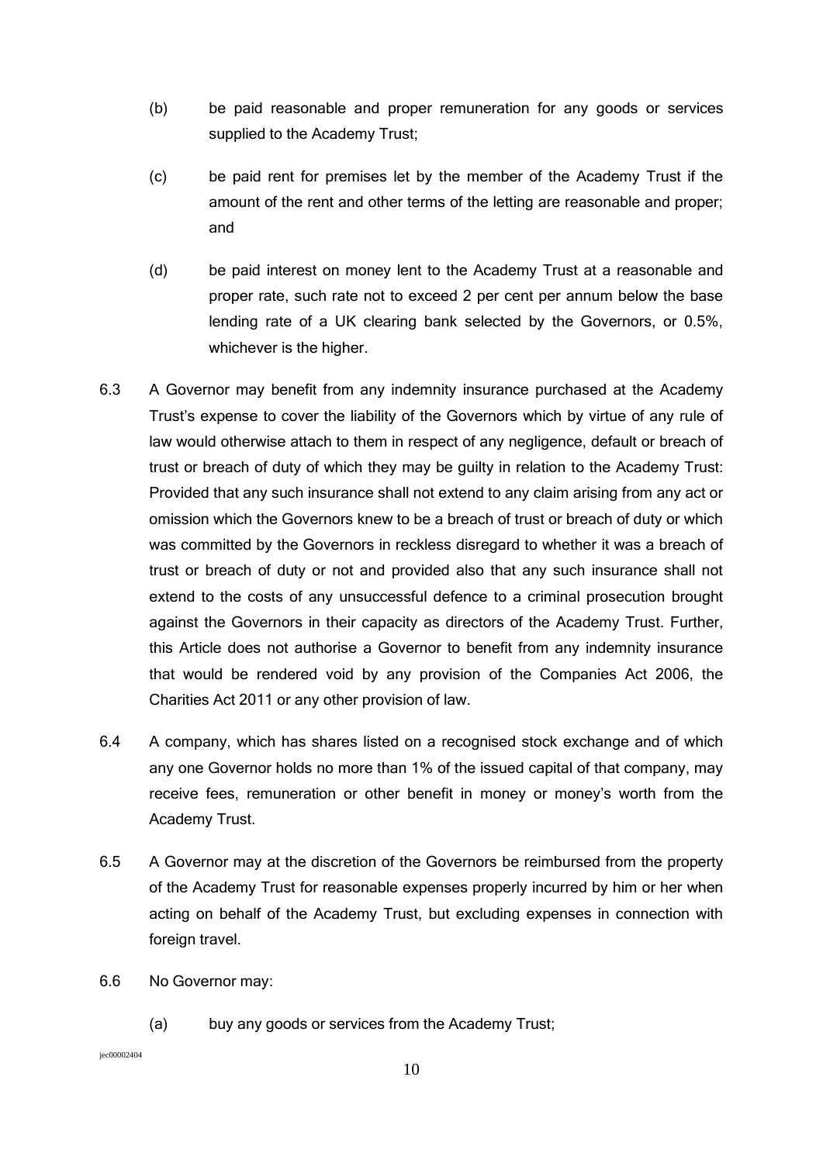- (b) be paid reasonable and proper remuneration for any goods or services supplied to the Academy Trust;
- (c) be paid rent for premises let by the member of the Academy Trust if the amount of the rent and other terms of the letting are reasonable and proper; and
- (d) be paid interest on money lent to the Academy Trust at a reasonable and proper rate, such rate not to exceed 2 per cent per annum below the base lending rate of a UK clearing bank selected by the Governors, or 0.5%, whichever is the higher.
- 6.3 A Governor may benefit from any indemnity insurance purchased at the Academy Trust's expense to cover the liability of the Governors which by virtue of any rule of law would otherwise attach to them in respect of any negligence, default or breach of trust or breach of duty of which they may be guilty in relation to the Academy Trust: Provided that any such insurance shall not extend to any claim arising from any act or omission which the Governors knew to be a breach of trust or breach of duty or which was committed by the Governors in reckless disregard to whether it was a breach of trust or breach of duty or not and provided also that any such insurance shall not extend to the costs of any unsuccessful defence to a criminal prosecution brought against the Governors in their capacity as directors of the Academy Trust. Further, this Article does not authorise a Governor to benefit from any indemnity insurance that would be rendered void by any provision of the Companies Act 2006, the Charities Act 2011 or any other provision of law.
- 6.4 A company, which has shares listed on a recognised stock exchange and of which any one Governor holds no more than 1% of the issued capital of that company, may receive fees, remuneration or other benefit in money or money's worth from the Academy Trust.
- 6.5 A Governor may at the discretion of the Governors be reimbursed from the property of the Academy Trust for reasonable expenses properly incurred by him or her when acting on behalf of the Academy Trust, but excluding expenses in connection with foreign travel.
- 6.6 No Governor may:
	- (a) buy any goods or services from the Academy Trust;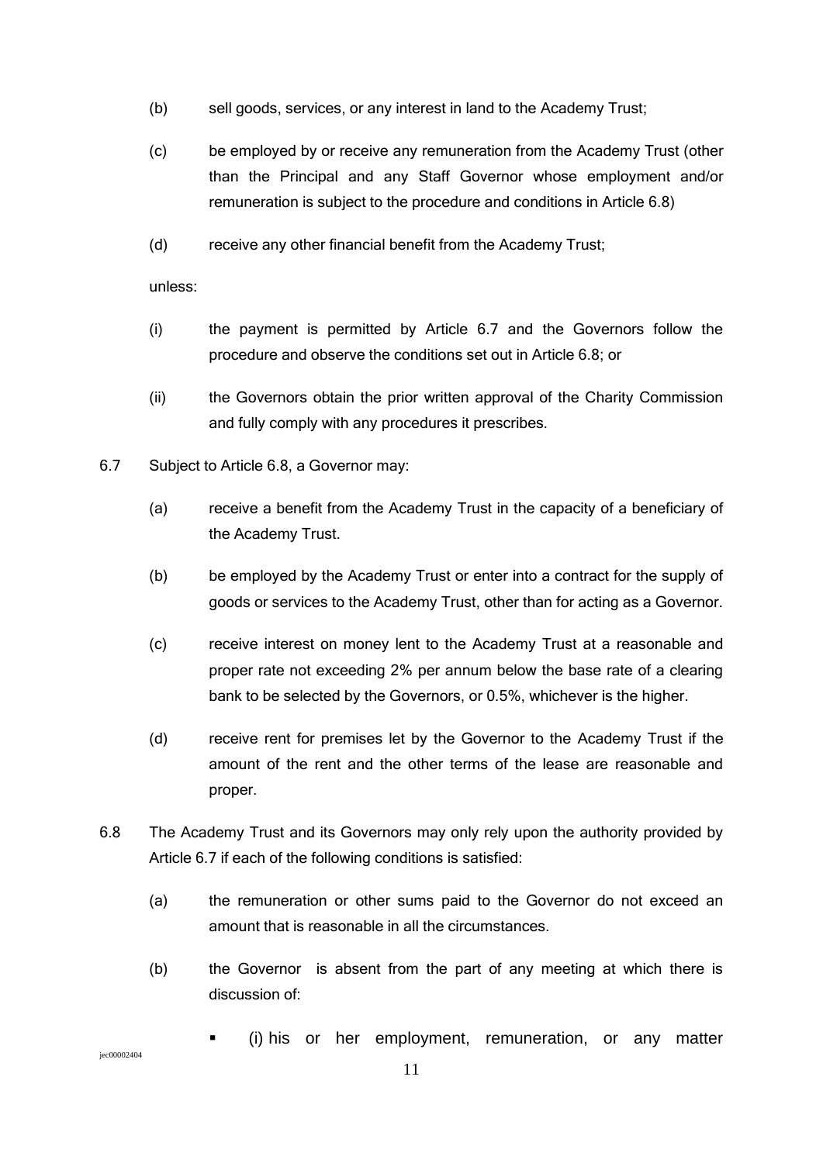- (b) sell goods, services, or any interest in land to the Academy Trust;
- (c) be employed by or receive any remuneration from the Academy Trust (other than the Principal and any Staff Governor whose employment and/or remuneration is subject to the procedure and conditions in Article 6.8)
- (d) receive any other financial benefit from the Academy Trust;

unless:

- (i) the payment is permitted by Article 6.7 and the Governors follow the procedure and observe the conditions set out in Article 6.8; or
- (ii) the Governors obtain the prior written approval of the Charity Commission and fully comply with any procedures it prescribes.
- 6.7 Subject to Article 6.8, a Governor may:
	- (a) receive a benefit from the Academy Trust in the capacity of a beneficiary of the Academy Trust.
	- (b) be employed by the Academy Trust or enter into a contract for the supply of goods or services to the Academy Trust, other than for acting as a Governor.
	- (c) receive interest on money lent to the Academy Trust at a reasonable and proper rate not exceeding 2% per annum below the base rate of a clearing bank to be selected by the Governors, or 0.5%, whichever is the higher.
	- (d) receive rent for premises let by the Governor to the Academy Trust if the amount of the rent and the other terms of the lease are reasonable and proper.
- 6.8 The Academy Trust and its Governors may only rely upon the authority provided by Article 6.7 if each of the following conditions is satisfied:
	- (a) the remuneration or other sums paid to the Governor do not exceed an amount that is reasonable in all the circumstances.
	- (b) the Governor is absent from the part of any meeting at which there is discussion of:
		- (i) his or her employment, remuneration, or any matter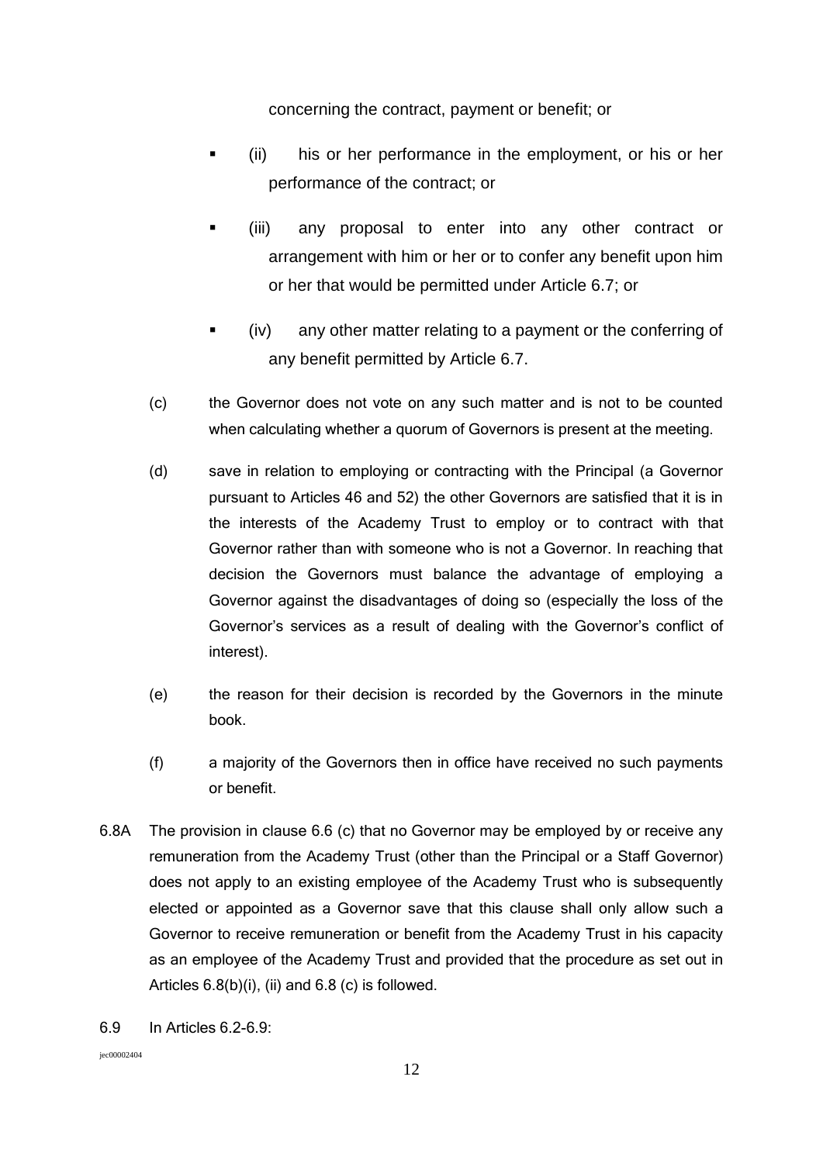concerning the contract, payment or benefit; or

- (ii) his or her performance in the employment, or his or her performance of the contract; or
- (iii) any proposal to enter into any other contract or arrangement with him or her or to confer any benefit upon him or her that would be permitted under Article 6.7; or
- (iv) any other matter relating to a payment or the conferring of any benefit permitted by Article 6.7.
- (c) the Governor does not vote on any such matter and is not to be counted when calculating whether a quorum of Governors is present at the meeting.
- (d) save in relation to employing or contracting with the Principal (a Governor pursuant to Articles 46 and 52) the other Governors are satisfied that it is in the interests of the Academy Trust to employ or to contract with that Governor rather than with someone who is not a Governor. In reaching that decision the Governors must balance the advantage of employing a Governor against the disadvantages of doing so (especially the loss of the Governor's services as a result of dealing with the Governor's conflict of interest).
- (e) the reason for their decision is recorded by the Governors in the minute book.
- (f) a majority of the Governors then in office have received no such payments or benefit.
- 6.8A The provision in clause 6.6 (c) that no Governor may be employed by or receive any remuneration from the Academy Trust (other than the Principal or a Staff Governor) does not apply to an existing employee of the Academy Trust who is subsequently elected or appointed as a Governor save that this clause shall only allow such a Governor to receive remuneration or benefit from the Academy Trust in his capacity as an employee of the Academy Trust and provided that the procedure as set out in Articles  $6.8(b)(i)$ , (ii) and  $6.8(c)$  is followed.
- 6.9 In Articles 6.2-6.9: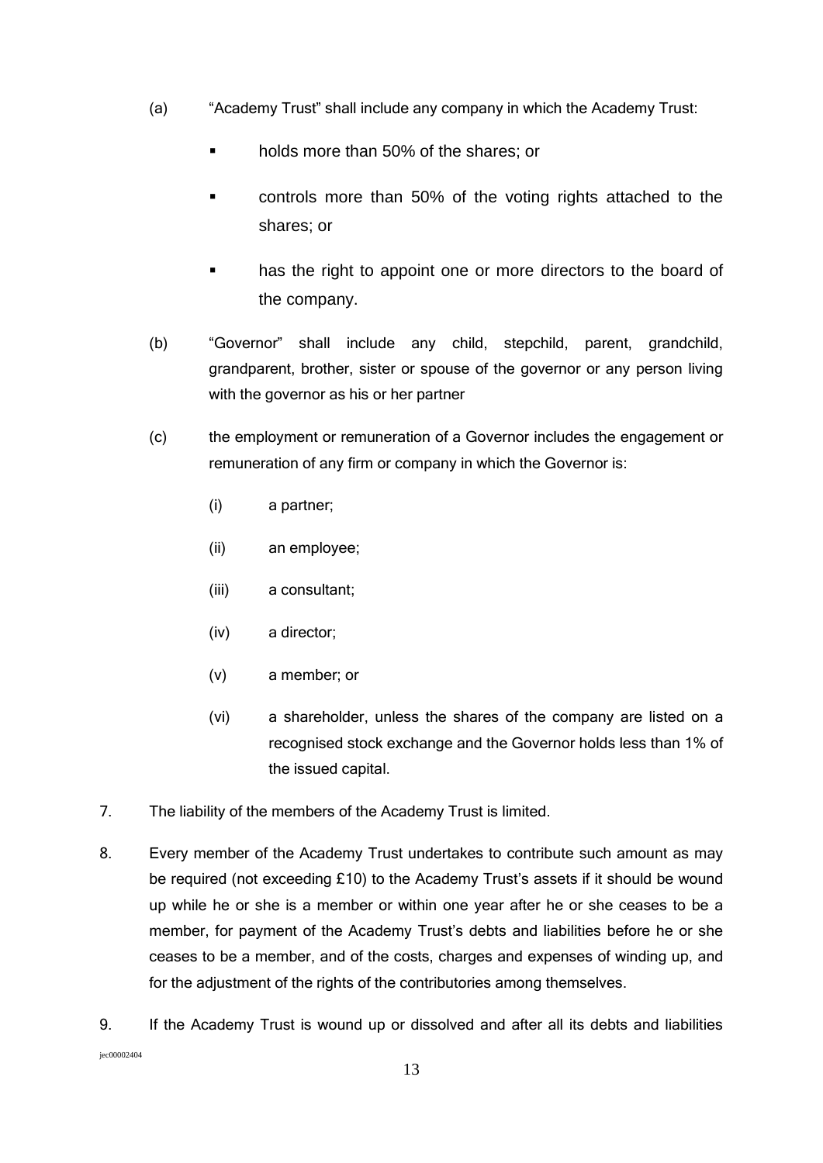- (a) "Academy Trust" shall include any company in which the Academy Trust:
	- holds more than 50% of the shares; or
	- controls more than 50% of the voting rights attached to the shares; or
	- has the right to appoint one or more directors to the board of the company.
- (b) "Governor" shall include any child, stepchild, parent, grandchild, grandparent, brother, sister or spouse of the governor or any person living with the governor as his or her partner
- (c) the employment or remuneration of a Governor includes the engagement or remuneration of any firm or company in which the Governor is:
	- (i) a partner;
	- (ii) an employee;
	- (iii) a consultant;
	- (iv) a director;
	- (v) a member; or
	- (vi) a shareholder, unless the shares of the company are listed on a recognised stock exchange and the Governor holds less than 1% of the issued capital.
- 7. The liability of the members of the Academy Trust is limited.
- 8. Every member of the Academy Trust undertakes to contribute such amount as may be required (not exceeding £10) to the Academy Trust's assets if it should be wound up while he or she is a member or within one year after he or she ceases to be a member, for payment of the Academy Trust's debts and liabilities before he or she ceases to be a member, and of the costs, charges and expenses of winding up, and for the adjustment of the rights of the contributories among themselves.
- jec00002404 9. If the Academy Trust is wound up or dissolved and after all its debts and liabilities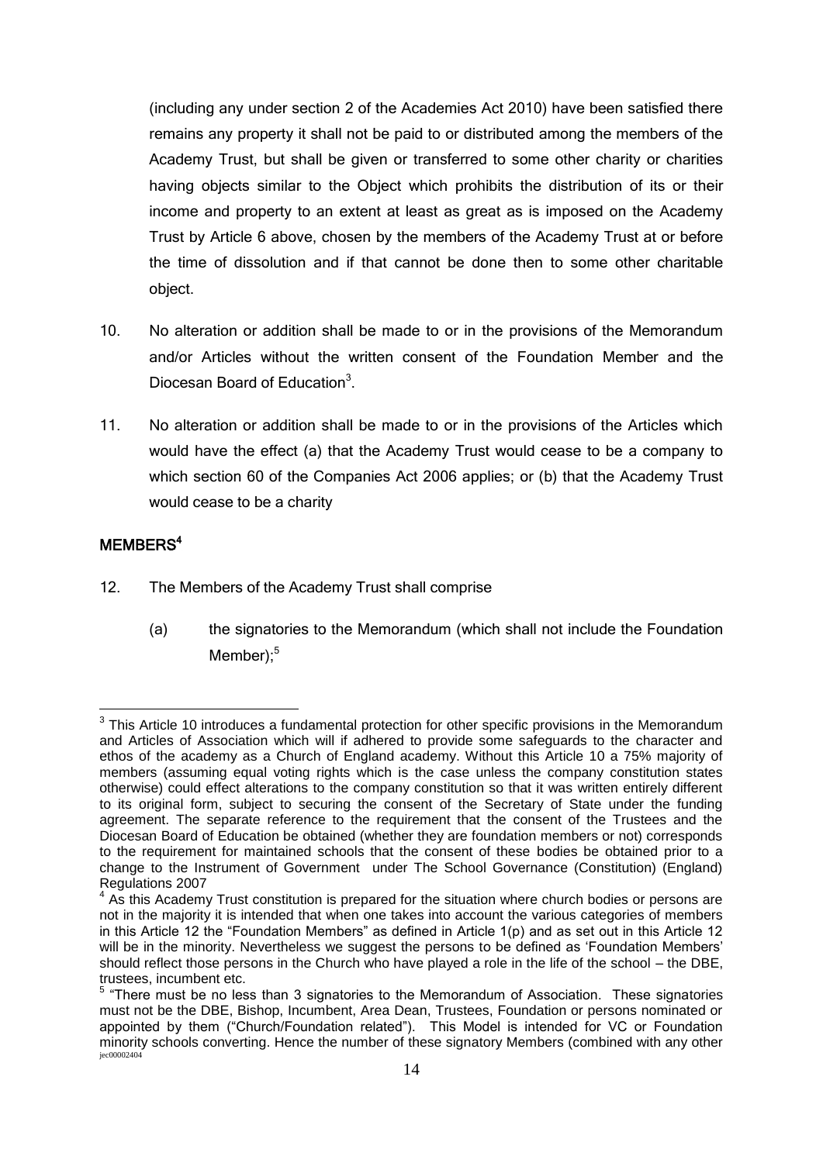(including any under section 2 of the Academies Act 2010) have been satisfied there remains any property it shall not be paid to or distributed among the members of the Academy Trust, but shall be given or transferred to some other charity or charities having objects similar to the Object which prohibits the distribution of its or their income and property to an extent at least as great as is imposed on the Academy Trust by Article 6 above, chosen by the members of the Academy Trust at or before the time of dissolution and if that cannot be done then to some other charitable object.

- 10. No alteration or addition shall be made to or in the provisions of the Memorandum and/or Articles without the written consent of the Foundation Member and the Diocesan Board of Education<sup>3</sup>.
- 11. No alteration or addition shall be made to or in the provisions of the Articles which would have the effect (a) that the Academy Trust would cease to be a company to which section 60 of the Companies Act 2006 applies; or (b) that the Academy Trust would cease to be a charity

## MEMBERS<sup>4</sup>

1

- 12. The Members of the Academy Trust shall comprise
	- (a) the signatories to the Memorandum (which shall not include the Foundation Member);<sup>5</sup>

 $3$  This Article 10 introduces a fundamental protection for other specific provisions in the Memorandum and Articles of Association which will if adhered to provide some safeguards to the character and ethos of the academy as a Church of England academy. Without this Article 10 a 75% majority of members (assuming equal voting rights which is the case unless the company constitution states otherwise) could effect alterations to the company constitution so that it was written entirely different to its original form, subject to securing the consent of the Secretary of State under the funding agreement. The separate reference to the requirement that the consent of the Trustees and the Diocesan Board of Education be obtained (whether they are foundation members or not) corresponds to the requirement for maintained schools that the consent of these bodies be obtained prior to a change to the Instrument of Government under The School Governance (Constitution) (England) Regulations 2007

 $4$  As this Academy Trust constitution is prepared for the situation where church bodies or persons are not in the majority it is intended that when one takes into account the various categories of members in this Article 12 the "Foundation Members" as defined in Article 1(p) and as set out in this Article 12 will be in the minority. Nevertheless we suggest the persons to be defined as 'Foundation Members' should reflect those persons in the Church who have played a role in the life of the school – the DBE, trustees, incumbent etc.

jec00002404  $<sup>5</sup>$  "There must be no less than 3 signatories to the Memorandum of Association. These signatories</sup> must not be the DBE, Bishop, Incumbent, Area Dean, Trustees, Foundation or persons nominated or appointed by them ("Church/Foundation related"). This Model is intended for VC or Foundation minority schools converting. Hence the number of these signatory Members (combined with any other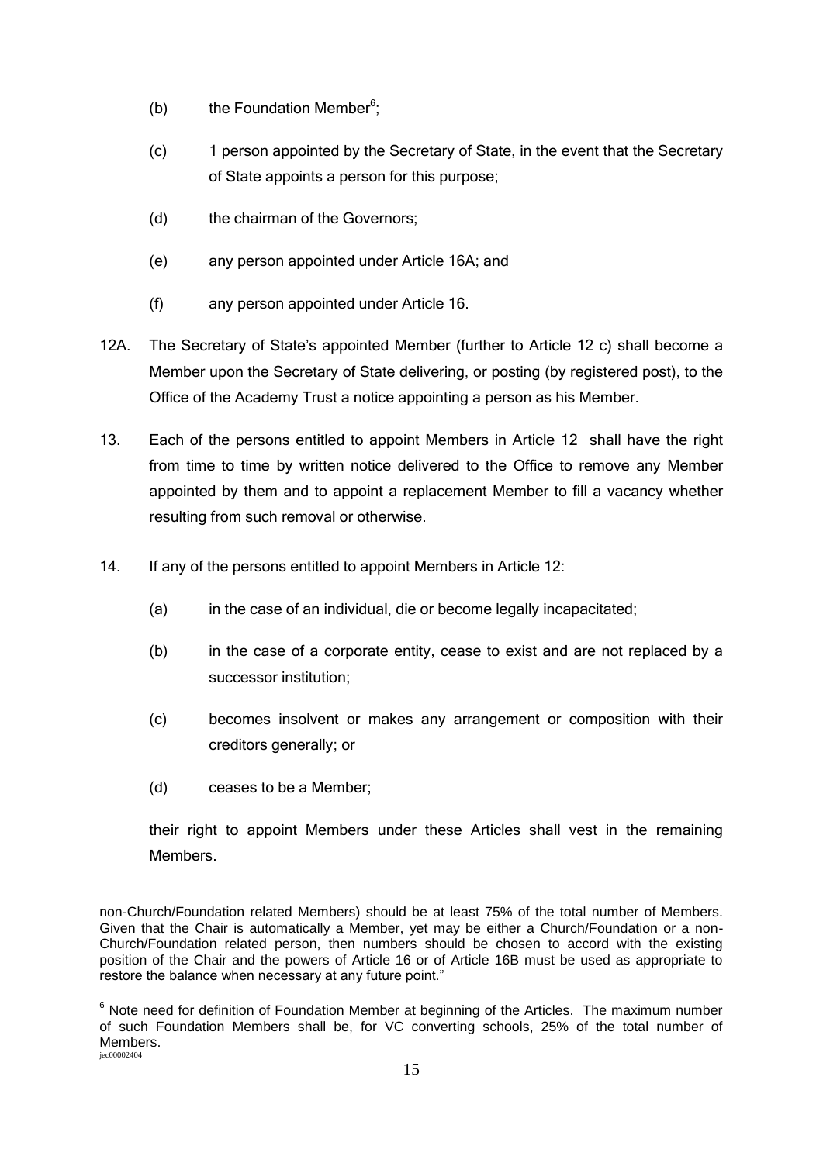- (b) the Foundation Member<sup>6</sup>;
- (c) 1 person appointed by the Secretary of State, in the event that the Secretary of State appoints a person for this purpose;
- (d) the chairman of the Governors;
- (e) any person appointed under Article 16A; and
- (f) any person appointed under Article 16.
- 12A. The Secretary of State's appointed Member (further to Article 12 c) shall become a Member upon the Secretary of State delivering, or posting (by registered post), to the Office of the Academy Trust a notice appointing a person as his Member.
- 13. Each of the persons entitled to appoint Members in Article 12 shall have the right from time to time by written notice delivered to the Office to remove any Member appointed by them and to appoint a replacement Member to fill a vacancy whether resulting from such removal or otherwise.
- 14. If any of the persons entitled to appoint Members in Article 12:
	- (a) in the case of an individual, die or become legally incapacitated;
	- (b) in the case of a corporate entity, cease to exist and are not replaced by a successor institution;
	- (c) becomes insolvent or makes any arrangement or composition with their creditors generally; or
	- (d) ceases to be a Member;

their right to appoint Members under these Articles shall vest in the remaining **Members** 

<sup>1</sup> non-Church/Foundation related Members) should be at least 75% of the total number of Members. Given that the Chair is automatically a Member, yet may be either a Church/Foundation or a non-Church/Foundation related person, then numbers should be chosen to accord with the existing position of the Chair and the powers of Article 16 or of Article 16B must be used as appropriate to restore the balance when necessary at any future point."

jec00002404  $6$  Note need for definition of Foundation Member at beginning of the Articles. The maximum number of such Foundation Members shall be, for VC converting schools, 25% of the total number of Members.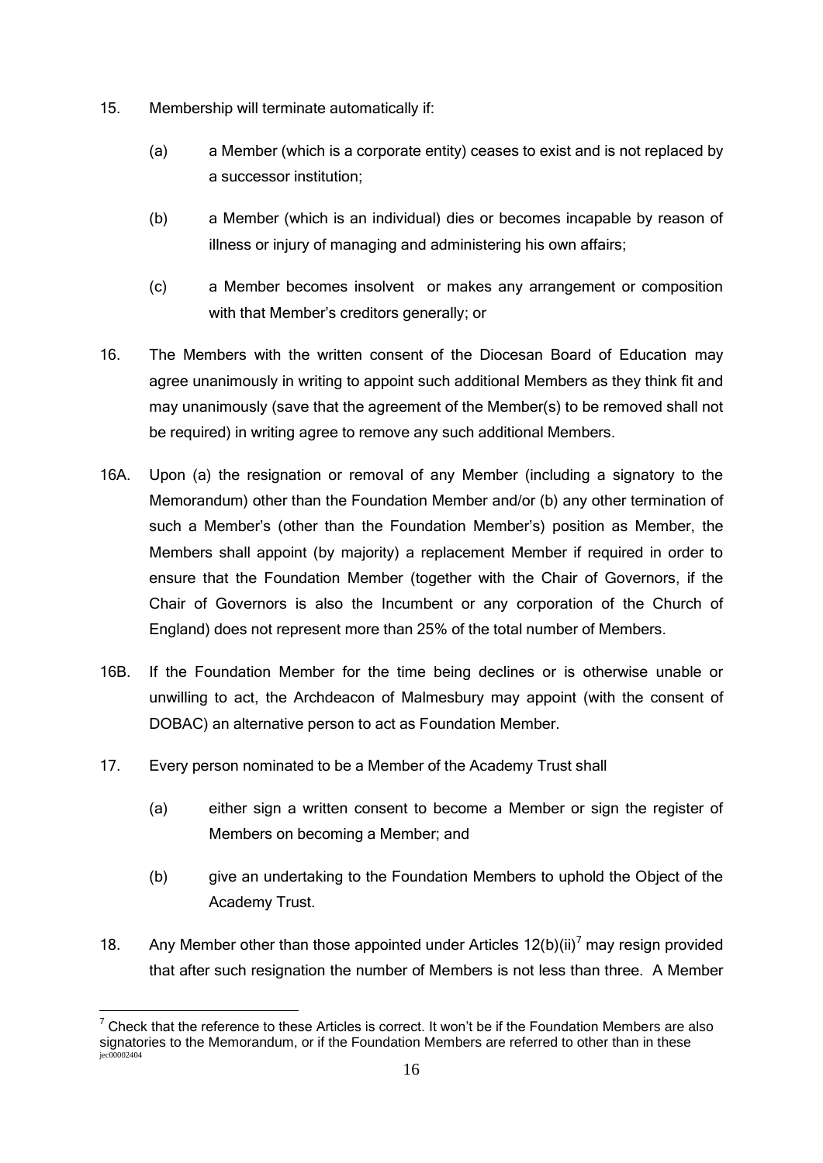- 15. Membership will terminate automatically if:
	- (a) a Member (which is a corporate entity) ceases to exist and is not replaced by a successor institution;
	- (b) a Member (which is an individual) dies or becomes incapable by reason of illness or injury of managing and administering his own affairs;
	- (c) a Member becomes insolvent or makes any arrangement or composition with that Member's creditors generally; or
- 16. The Members with the written consent of the Diocesan Board of Education may agree unanimously in writing to appoint such additional Members as they think fit and may unanimously (save that the agreement of the Member(s) to be removed shall not be required) in writing agree to remove any such additional Members.
- 16A. Upon (a) the resignation or removal of any Member (including a signatory to the Memorandum) other than the Foundation Member and/or (b) any other termination of such a Member's (other than the Foundation Member's) position as Member, the Members shall appoint (by majority) a replacement Member if required in order to ensure that the Foundation Member (together with the Chair of Governors, if the Chair of Governors is also the Incumbent or any corporation of the Church of England) does not represent more than 25% of the total number of Members.
- 16B. If the Foundation Member for the time being declines or is otherwise unable or unwilling to act, the Archdeacon of Malmesbury may appoint (with the consent of DOBAC) an alternative person to act as Foundation Member.
- 17. Every person nominated to be a Member of the Academy Trust shall
	- (a) either sign a written consent to become a Member or sign the register of Members on becoming a Member; and
	- (b) give an undertaking to the Foundation Members to uphold the Object of the Academy Trust.
- 18. Any Member other than those appointed under Articles  $12(b)(ii)^7$  may resign provided that after such resignation the number of Members is not less than three. A Member

jec00002404 1  $<sup>7</sup>$  Check that the reference to these Articles is correct. It won't be if the Foundation Members are also</sup> signatories to the Memorandum, or if the Foundation Members are referred to other than in these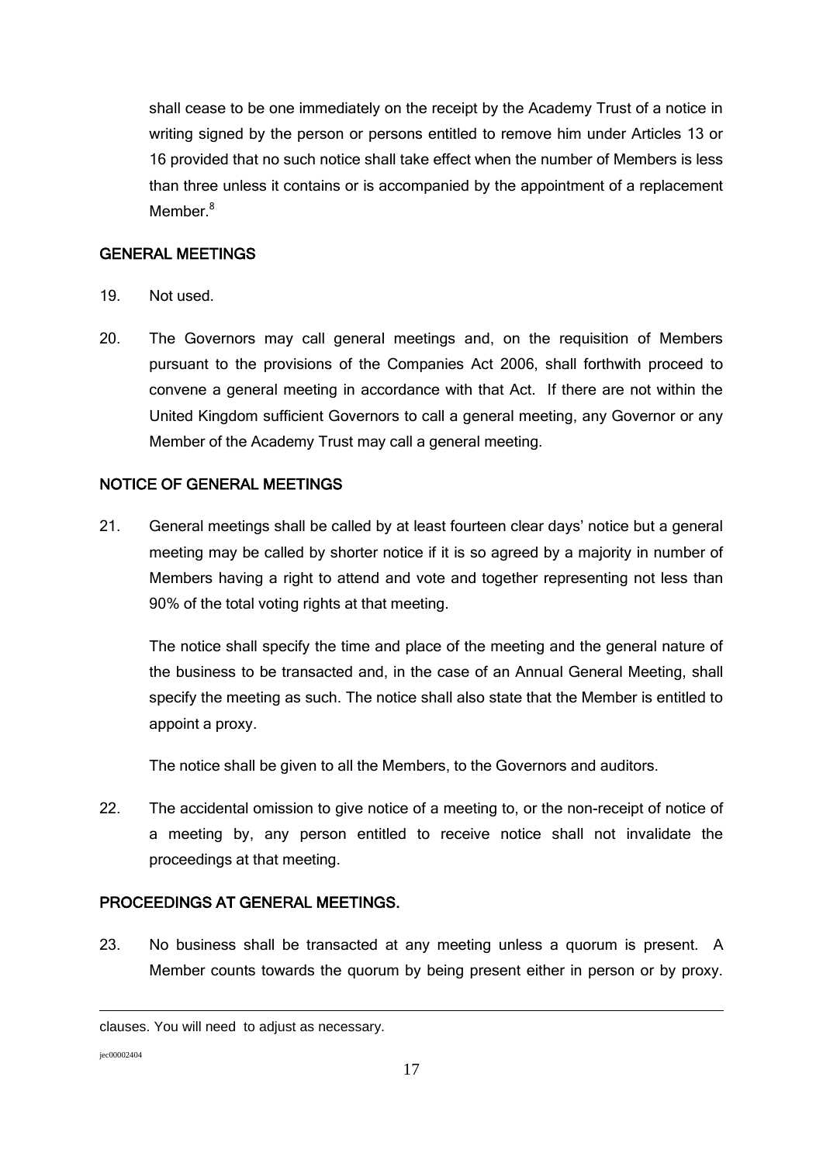shall cease to be one immediately on the receipt by the Academy Trust of a notice in writing signed by the person or persons entitled to remove him under Articles 13 or 16 provided that no such notice shall take effect when the number of Members is less than three unless it contains or is accompanied by the appointment of a replacement Memher $^8$ 

### GENERAL MEETINGS

- 19. Not used.
- 20. The Governors may call general meetings and, on the requisition of Members pursuant to the provisions of the Companies Act 2006, shall forthwith proceed to convene a general meeting in accordance with that Act. If there are not within the United Kingdom sufficient Governors to call a general meeting, any Governor or any Member of the Academy Trust may call a general meeting.

### NOTICE OF GENERAL MEETINGS

21. General meetings shall be called by at least fourteen clear days' notice but a general meeting may be called by shorter notice if it is so agreed by a majority in number of Members having a right to attend and vote and together representing not less than 90% of the total voting rights at that meeting.

The notice shall specify the time and place of the meeting and the general nature of the business to be transacted and, in the case of an Annual General Meeting, shall specify the meeting as such. The notice shall also state that the Member is entitled to appoint a proxy.

The notice shall be given to all the Members, to the Governors and auditors.

22. The accidental omission to give notice of a meeting to, or the non-receipt of notice of a meeting by, any person entitled to receive notice shall not invalidate the proceedings at that meeting.

### PROCEEDINGS AT GENERAL MEETINGS.

23. No business shall be transacted at any meeting unless a quorum is present. A Member counts towards the quorum by being present either in person or by proxy.

jec00002404

1

clauses. You will need to adjust as necessary.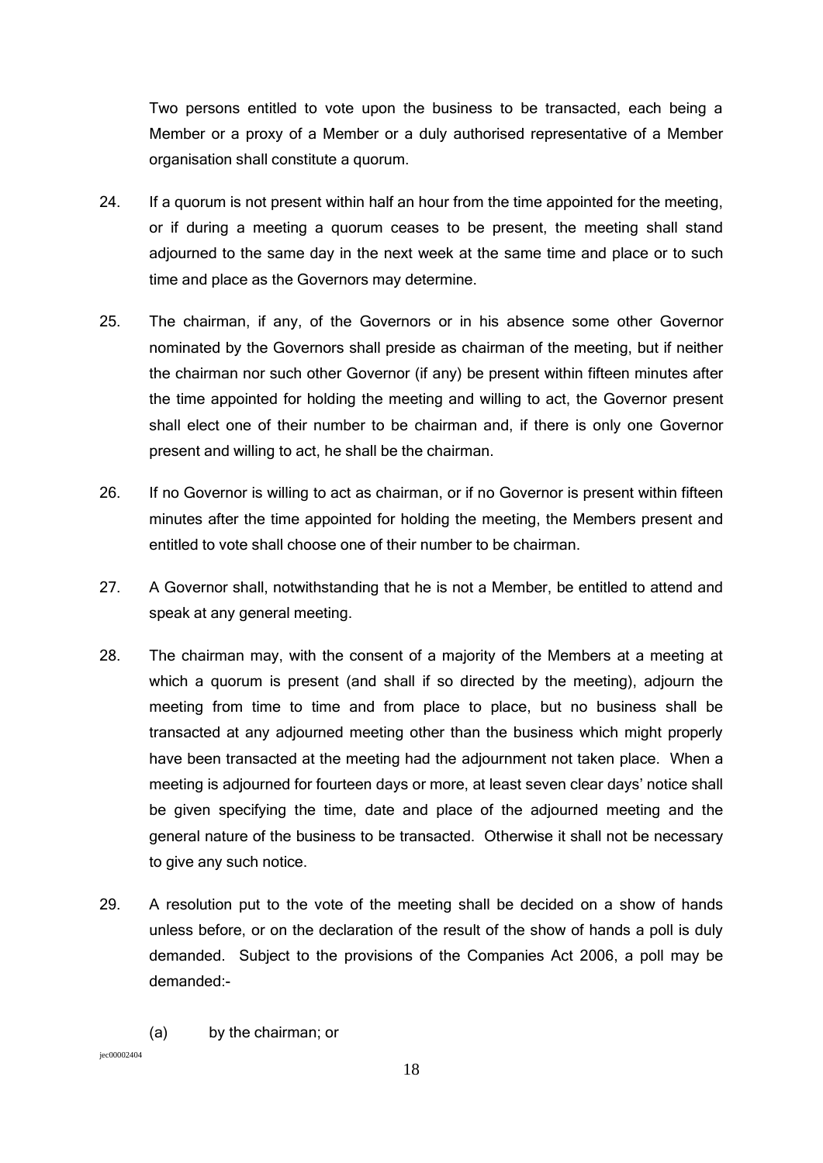Two persons entitled to vote upon the business to be transacted, each being a Member or a proxy of a Member or a duly authorised representative of a Member organisation shall constitute a quorum.

- 24. If a quorum is not present within half an hour from the time appointed for the meeting, or if during a meeting a quorum ceases to be present, the meeting shall stand adjourned to the same day in the next week at the same time and place or to such time and place as the Governors may determine.
- 25. The chairman, if any, of the Governors or in his absence some other Governor nominated by the Governors shall preside as chairman of the meeting, but if neither the chairman nor such other Governor (if any) be present within fifteen minutes after the time appointed for holding the meeting and willing to act, the Governor present shall elect one of their number to be chairman and, if there is only one Governor present and willing to act, he shall be the chairman.
- 26. If no Governor is willing to act as chairman, or if no Governor is present within fifteen minutes after the time appointed for holding the meeting, the Members present and entitled to vote shall choose one of their number to be chairman.
- 27. A Governor shall, notwithstanding that he is not a Member, be entitled to attend and speak at any general meeting.
- 28. The chairman may, with the consent of a majority of the Members at a meeting at which a quorum is present (and shall if so directed by the meeting), adjourn the meeting from time to time and from place to place, but no business shall be transacted at any adjourned meeting other than the business which might properly have been transacted at the meeting had the adjournment not taken place. When a meeting is adjourned for fourteen days or more, at least seven clear days' notice shall be given specifying the time, date and place of the adjourned meeting and the general nature of the business to be transacted. Otherwise it shall not be necessary to give any such notice.
- 29. A resolution put to the vote of the meeting shall be decided on a show of hands unless before, or on the declaration of the result of the show of hands a poll is duly demanded. Subject to the provisions of the Companies Act 2006, a poll may be demanded:-
	- (a) by the chairman; or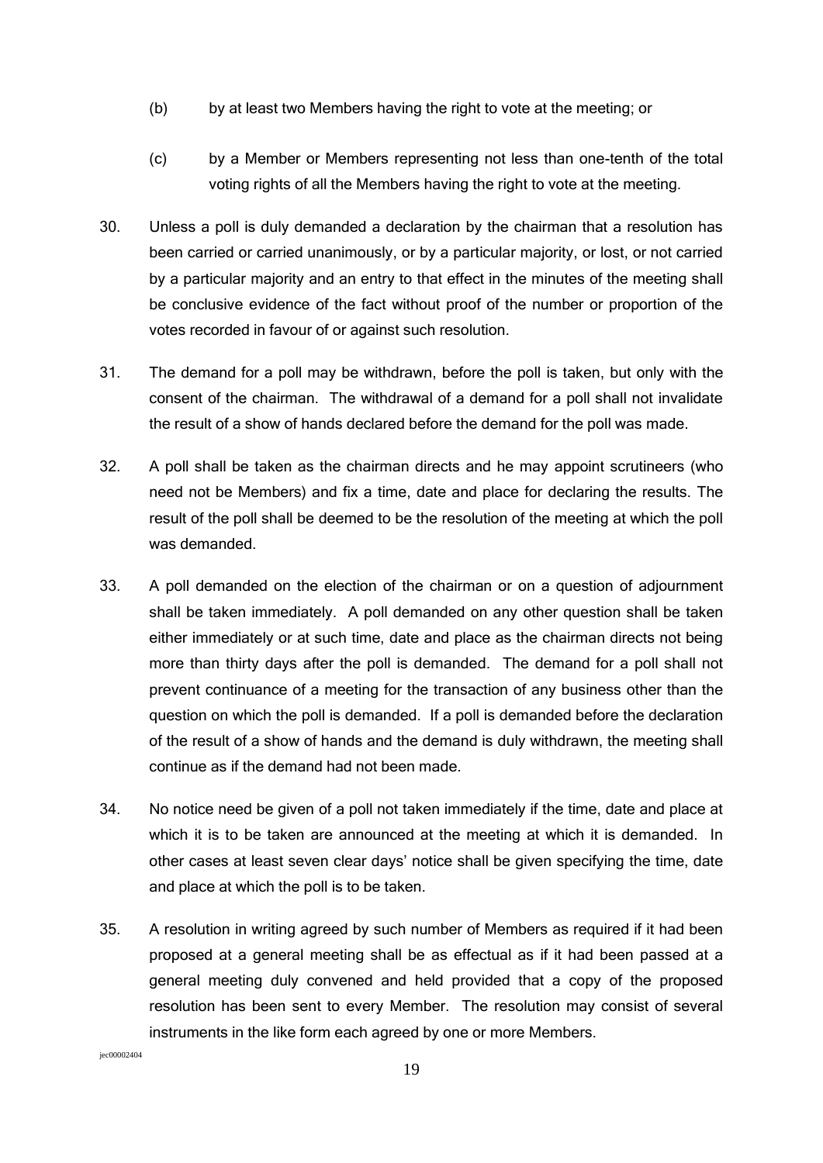- (b) by at least two Members having the right to vote at the meeting; or
- (c) by a Member or Members representing not less than one-tenth of the total voting rights of all the Members having the right to vote at the meeting.
- 30. Unless a poll is duly demanded a declaration by the chairman that a resolution has been carried or carried unanimously, or by a particular majority, or lost, or not carried by a particular majority and an entry to that effect in the minutes of the meeting shall be conclusive evidence of the fact without proof of the number or proportion of the votes recorded in favour of or against such resolution.
- 31. The demand for a poll may be withdrawn, before the poll is taken, but only with the consent of the chairman. The withdrawal of a demand for a poll shall not invalidate the result of a show of hands declared before the demand for the poll was made.
- 32. A poll shall be taken as the chairman directs and he may appoint scrutineers (who need not be Members) and fix a time, date and place for declaring the results. The result of the poll shall be deemed to be the resolution of the meeting at which the poll was demanded.
- 33. A poll demanded on the election of the chairman or on a question of adjournment shall be taken immediately. A poll demanded on any other question shall be taken either immediately or at such time, date and place as the chairman directs not being more than thirty days after the poll is demanded. The demand for a poll shall not prevent continuance of a meeting for the transaction of any business other than the question on which the poll is demanded. If a poll is demanded before the declaration of the result of a show of hands and the demand is duly withdrawn, the meeting shall continue as if the demand had not been made.
- 34. No notice need be given of a poll not taken immediately if the time, date and place at which it is to be taken are announced at the meeting at which it is demanded. In other cases at least seven clear days' notice shall be given specifying the time, date and place at which the poll is to be taken.
- 35. A resolution in writing agreed by such number of Members as required if it had been proposed at a general meeting shall be as effectual as if it had been passed at a general meeting duly convened and held provided that a copy of the proposed resolution has been sent to every Member. The resolution may consist of several instruments in the like form each agreed by one or more Members.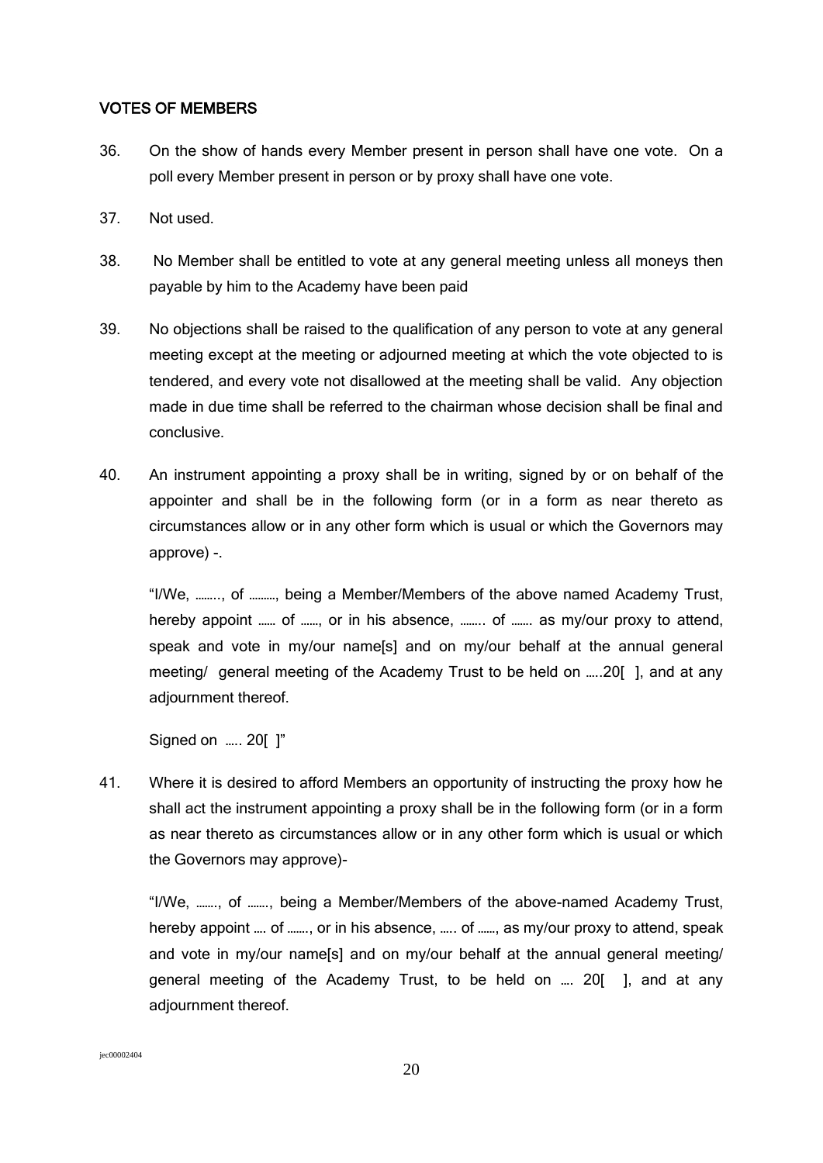#### VOTES OF MEMBERS

- 36. On the show of hands every Member present in person shall have one vote. On a poll every Member present in person or by proxy shall have one vote.
- 37. Not used.
- 38. No Member shall be entitled to vote at any general meeting unless all moneys then payable by him to the Academy have been paid
- 39. No objections shall be raised to the qualification of any person to vote at any general meeting except at the meeting or adjourned meeting at which the vote objected to is tendered, and every vote not disallowed at the meeting shall be valid. Any objection made in due time shall be referred to the chairman whose decision shall be final and conclusive.
- 40. An instrument appointing a proxy shall be in writing, signed by or on behalf of the appointer and shall be in the following form (or in a form as near thereto as circumstances allow or in any other form which is usual or which the Governors may approve) -.

"I/We, …….., of ………, being a Member/Members of the above named Academy Trust, hereby appoint ...... of ......, or in his absence, ........ of ....... as my/our proxy to attend, speak and vote in my/our name[s] and on my/our behalf at the annual general meeting/ general meeting of the Academy Trust to be held on …..20[ ], and at any adjournment thereof.

Signed on ….. 20[ ]"

41. Where it is desired to afford Members an opportunity of instructing the proxy how he shall act the instrument appointing a proxy shall be in the following form (or in a form as near thereto as circumstances allow or in any other form which is usual or which the Governors may approve)-

"I/We, ……., of ……., being a Member/Members of the above-named Academy Trust, hereby appoint .... of ......., or in his absence, ..... of ......, as my/our proxy to attend, speak and vote in my/our name[s] and on my/our behalf at the annual general meeting/ general meeting of the Academy Trust, to be held on …. 20[ ], and at any adjournment thereof.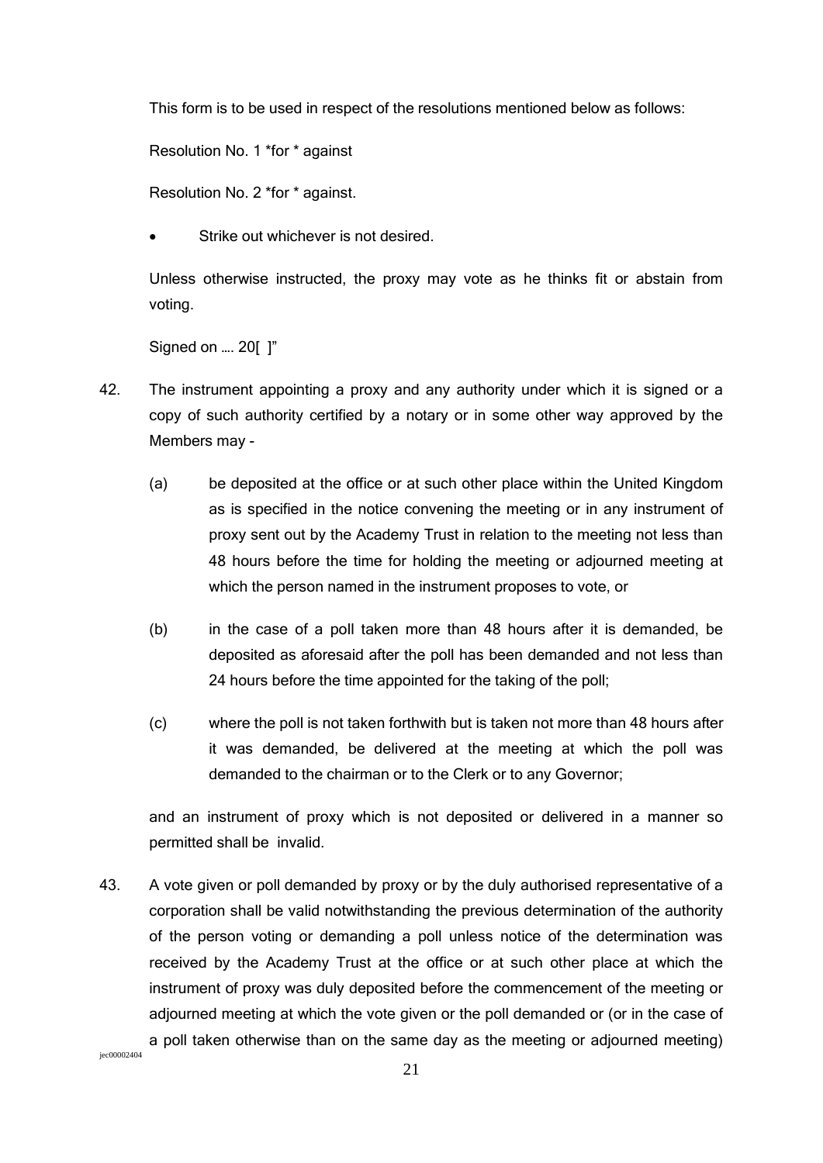This form is to be used in respect of the resolutions mentioned below as follows:

Resolution No. 1 \*for \* against

Resolution No. 2 \*for \* against.

Strike out whichever is not desired.

Unless otherwise instructed, the proxy may vote as he thinks fit or abstain from voting.

Signed on …. 20[ ]"

- 42. The instrument appointing a proxy and any authority under which it is signed or a copy of such authority certified by a notary or in some other way approved by the Members may -
	- (a) be deposited at the office or at such other place within the United Kingdom as is specified in the notice convening the meeting or in any instrument of proxy sent out by the Academy Trust in relation to the meeting not less than 48 hours before the time for holding the meeting or adjourned meeting at which the person named in the instrument proposes to vote, or
	- (b) in the case of a poll taken more than 48 hours after it is demanded, be deposited as aforesaid after the poll has been demanded and not less than 24 hours before the time appointed for the taking of the poll;
	- (c) where the poll is not taken forthwith but is taken not more than 48 hours after it was demanded, be delivered at the meeting at which the poll was demanded to the chairman or to the Clerk or to any Governor;

and an instrument of proxy which is not deposited or delivered in a manner so permitted shall be invalid.

43. A vote given or poll demanded by proxy or by the duly authorised representative of a corporation shall be valid notwithstanding the previous determination of the authority of the person voting or demanding a poll unless notice of the determination was received by the Academy Trust at the office or at such other place at which the instrument of proxy was duly deposited before the commencement of the meeting or adjourned meeting at which the vote given or the poll demanded or (or in the case of a poll taken otherwise than on the same day as the meeting or adjourned meeting)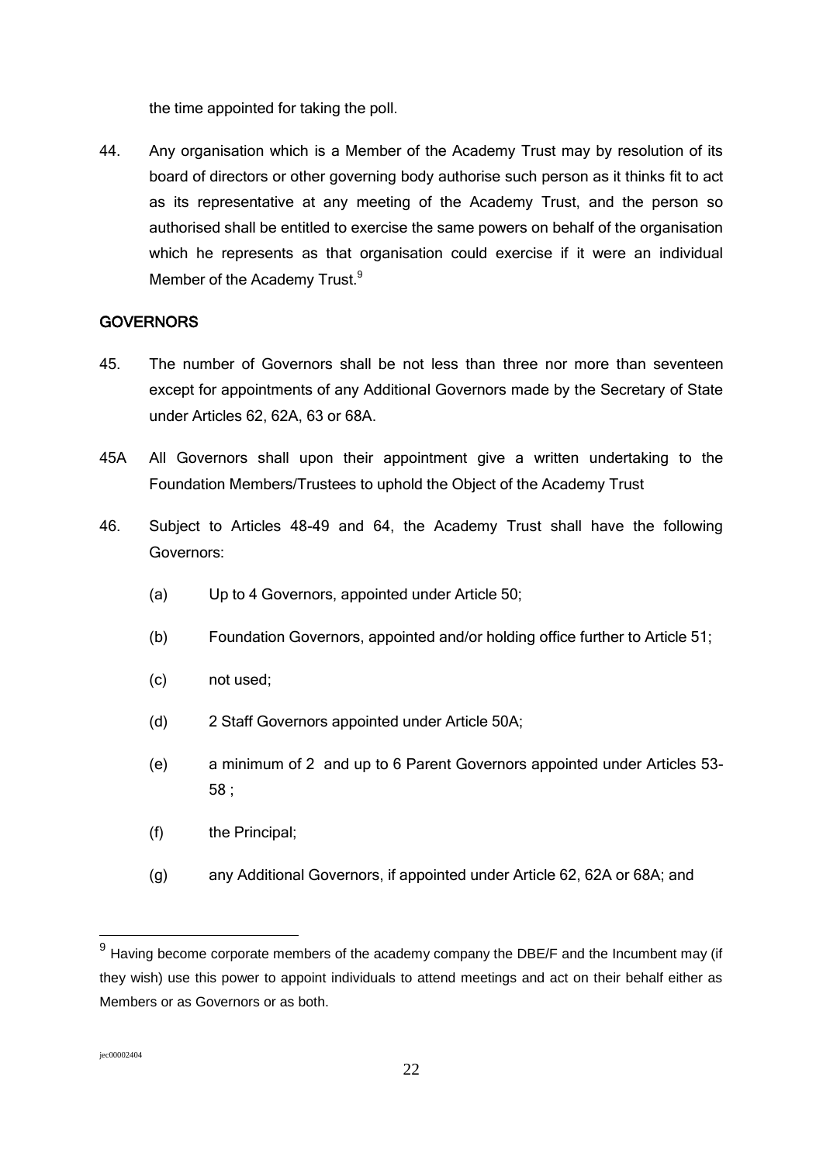the time appointed for taking the poll.

44. Any organisation which is a Member of the Academy Trust may by resolution of its board of directors or other governing body authorise such person as it thinks fit to act as its representative at any meeting of the Academy Trust, and the person so authorised shall be entitled to exercise the same powers on behalf of the organisation which he represents as that organisation could exercise if it were an individual Member of the Academy Trust.<sup>9</sup>

### **GOVERNORS**

- 45. The number of Governors shall be not less than three nor more than seventeen except for appointments of any Additional Governors made by the Secretary of State under Articles 62, 62A, 63 or 68A.
- 45A All Governors shall upon their appointment give a written undertaking to the Foundation Members/Trustees to uphold the Object of the Academy Trust
- 46. Subject to Articles 48-49 and 64, the Academy Trust shall have the following Governors:
	- (a) Up to 4 Governors, appointed under Article 50;
	- (b) Foundation Governors, appointed and/or holding office further to Article 51;
	- (c) not used;
	- (d) 2 Staff Governors appointed under Article 50A;
	- (e) a minimum of 2 and up to 6 Parent Governors appointed under Articles 53- 58 ;
	- (f) the Principal;
	- (g) any Additional Governors, if appointed under Article 62, 62A or 68A; and

<u>.</u>

 $9$  Having become corporate members of the academy company the DBE/F and the Incumbent may (if they wish) use this power to appoint individuals to attend meetings and act on their behalf either as Members or as Governors or as both.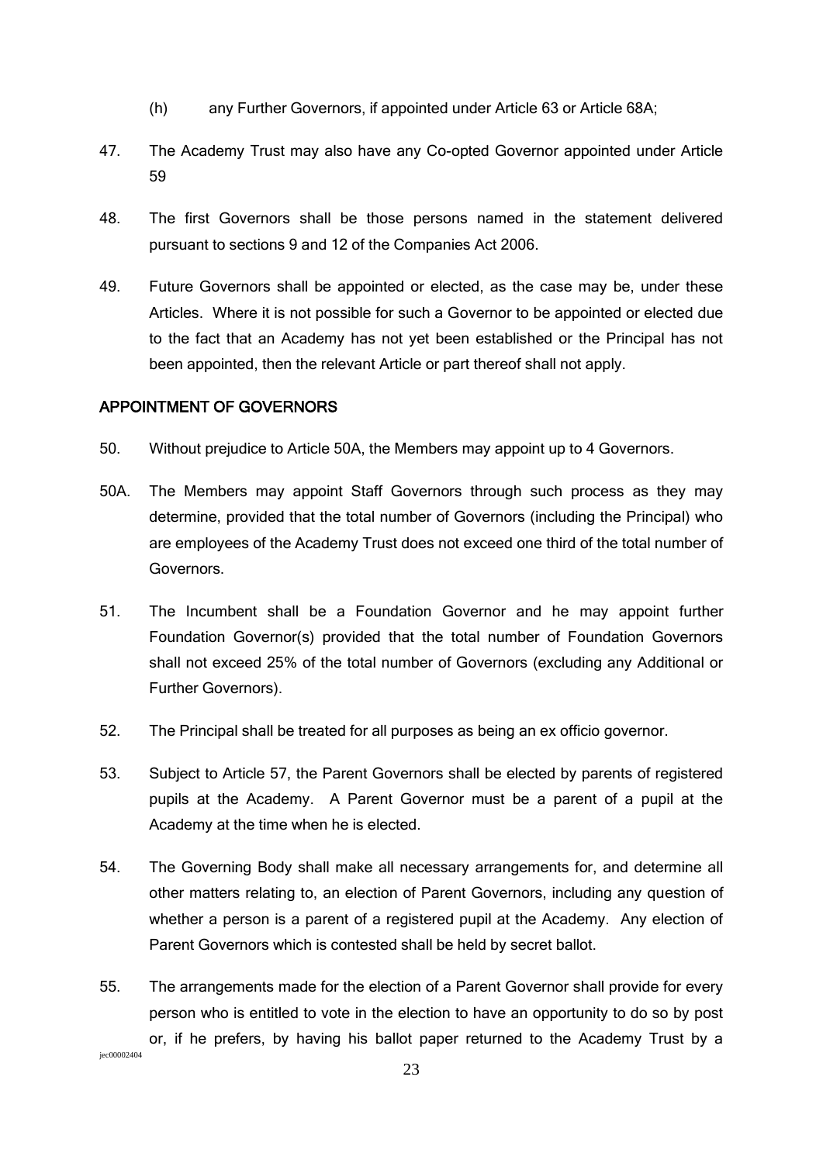- (h) any Further Governors, if appointed under Article 63 or Article 68A;
- 47. The Academy Trust may also have any Co-opted Governor appointed under Article 59
- 48. The first Governors shall be those persons named in the statement delivered pursuant to sections 9 and 12 of the Companies Act 2006.
- 49. Future Governors shall be appointed or elected, as the case may be, under these Articles. Where it is not possible for such a Governor to be appointed or elected due to the fact that an Academy has not yet been established or the Principal has not been appointed, then the relevant Article or part thereof shall not apply.

## APPOINTMENT OF GOVERNORS

- 50. Without prejudice to Article 50A, the Members may appoint up to 4 Governors.
- 50A. The Members may appoint Staff Governors through such process as they may determine, provided that the total number of Governors (including the Principal) who are employees of the Academy Trust does not exceed one third of the total number of Governors.
- 51. The Incumbent shall be a Foundation Governor and he may appoint further Foundation Governor(s) provided that the total number of Foundation Governors shall not exceed 25% of the total number of Governors (excluding any Additional or Further Governors).
- 52. The Principal shall be treated for all purposes as being an ex officio governor.
- 53. Subject to Article 57, the Parent Governors shall be elected by parents of registered pupils at the Academy. A Parent Governor must be a parent of a pupil at the Academy at the time when he is elected.
- 54. The Governing Body shall make all necessary arrangements for, and determine all other matters relating to, an election of Parent Governors, including any question of whether a person is a parent of a registered pupil at the Academy. Any election of Parent Governors which is contested shall be held by secret ballot.
- 55. The arrangements made for the election of a Parent Governor shall provide for every person who is entitled to vote in the election to have an opportunity to do so by post or, if he prefers, by having his ballot paper returned to the Academy Trust by a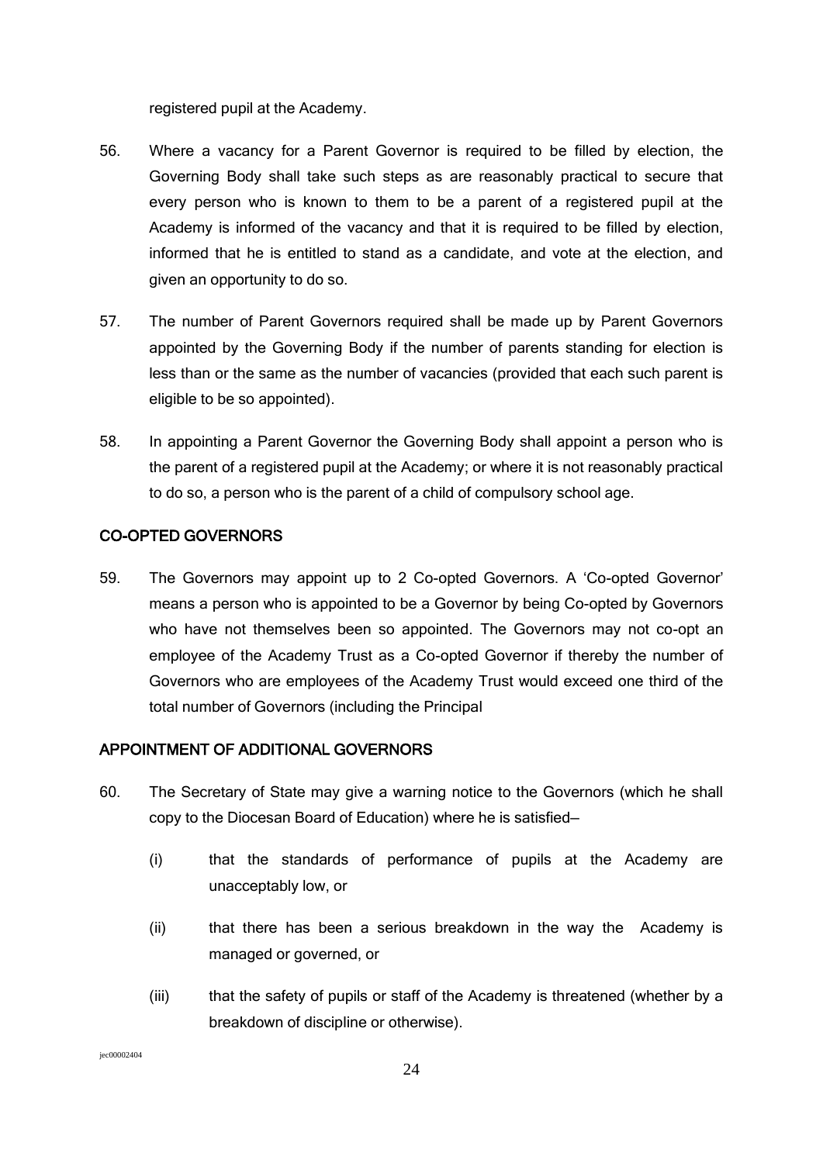registered pupil at the Academy.

- 56. Where a vacancy for a Parent Governor is required to be filled by election, the Governing Body shall take such steps as are reasonably practical to secure that every person who is known to them to be a parent of a registered pupil at the Academy is informed of the vacancy and that it is required to be filled by election, informed that he is entitled to stand as a candidate, and vote at the election, and given an opportunity to do so.
- 57. The number of Parent Governors required shall be made up by Parent Governors appointed by the Governing Body if the number of parents standing for election is less than or the same as the number of vacancies (provided that each such parent is eligible to be so appointed).
- 58. In appointing a Parent Governor the Governing Body shall appoint a person who is the parent of a registered pupil at the Academy; or where it is not reasonably practical to do so, a person who is the parent of a child of compulsory school age.

## CO-OPTED GOVERNORS

59. The Governors may appoint up to 2 Co-opted Governors. A 'Co-opted Governor' means a person who is appointed to be a Governor by being Co-opted by Governors who have not themselves been so appointed. The Governors may not co-opt an employee of the Academy Trust as a Co-opted Governor if thereby the number of Governors who are employees of the Academy Trust would exceed one third of the total number of Governors (including the Principal

### APPOINTMENT OF ADDITIONAL GOVERNORS

- 60. The Secretary of State may give a warning notice to the Governors (which he shall copy to the Diocesan Board of Education) where he is satisfied—
	- (i) that the standards of performance of pupils at the Academy are unacceptably low, or
	- (ii) that there has been a serious breakdown in the way the Academy is managed or governed, or
	- (iii) that the safety of pupils or staff of the Academy is threatened (whether by a breakdown of discipline or otherwise).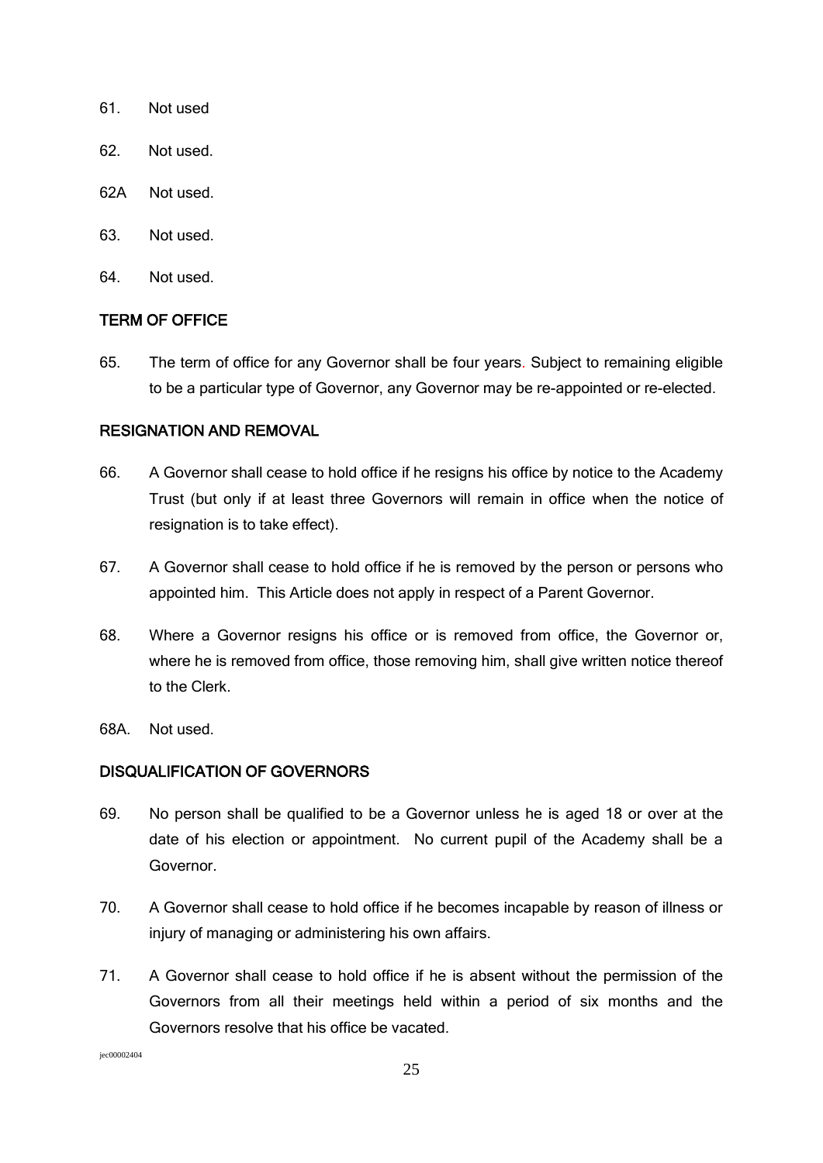- 61. Not used
- 62. Not used.
- 62A Not used.
- 63. Not used.
- 64. Not used.

#### TERM OF OFFICE

65. The term of office for any Governor shall be four years. Subject to remaining eligible to be a particular type of Governor, any Governor may be re-appointed or re-elected.

### RESIGNATION AND REMOVAL

- 66. A Governor shall cease to hold office if he resigns his office by notice to the Academy Trust (but only if at least three Governors will remain in office when the notice of resignation is to take effect).
- 67. A Governor shall cease to hold office if he is removed by the person or persons who appointed him. This Article does not apply in respect of a Parent Governor.
- 68. Where a Governor resigns his office or is removed from office, the Governor or, where he is removed from office, those removing him, shall give written notice thereof to the Clerk.
- 68A. Not used.

### DISQUALIFICATION OF GOVERNORS

- 69. No person shall be qualified to be a Governor unless he is aged 18 or over at the date of his election or appointment. No current pupil of the Academy shall be a Governor.
- 70. A Governor shall cease to hold office if he becomes incapable by reason of illness or injury of managing or administering his own affairs.
- 71. A Governor shall cease to hold office if he is absent without the permission of the Governors from all their meetings held within a period of six months and the Governors resolve that his office be vacated.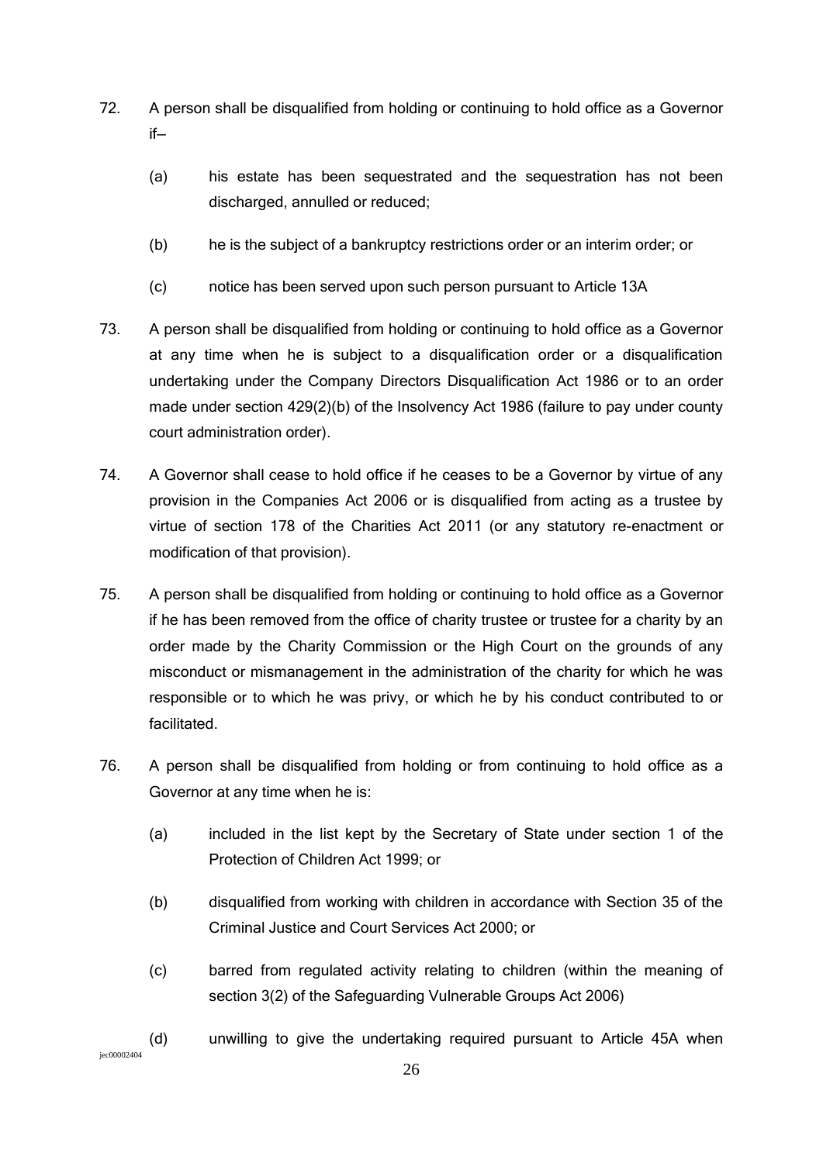- 72. A person shall be disqualified from holding or continuing to hold office as a Governor if—
	- (a) his estate has been sequestrated and the sequestration has not been discharged, annulled or reduced;
	- (b) he is the subject of a bankruptcy restrictions order or an interim order; or
	- (c) notice has been served upon such person pursuant to Article 13A
- 73. A person shall be disqualified from holding or continuing to hold office as a Governor at any time when he is subject to a disqualification order or a disqualification undertaking under the Company Directors Disqualification Act 1986 or to an order made under section 429(2)(b) of the Insolvency Act 1986 (failure to pay under county court administration order).
- 74. A Governor shall cease to hold office if he ceases to be a Governor by virtue of any provision in the Companies Act 2006 or is disqualified from acting as a trustee by virtue of section 178 of the Charities Act 2011 (or any statutory re-enactment or modification of that provision).
- 75. A person shall be disqualified from holding or continuing to hold office as a Governor if he has been removed from the office of charity trustee or trustee for a charity by an order made by the Charity Commission or the High Court on the grounds of any misconduct or mismanagement in the administration of the charity for which he was responsible or to which he was privy, or which he by his conduct contributed to or facilitated.
- 76. A person shall be disqualified from holding or from continuing to hold office as a Governor at any time when he is:
	- (a) included in the list kept by the Secretary of State under section 1 of the Protection of Children Act 1999; or
	- (b) disqualified from working with children in accordance with Section 35 of the Criminal Justice and Court Services Act 2000; or
	- (c) barred from regulated activity relating to children (within the meaning of section 3(2) of the Safeguarding Vulnerable Groups Act 2006)
- jec00002404 (d) unwilling to give the undertaking required pursuant to Article 45A when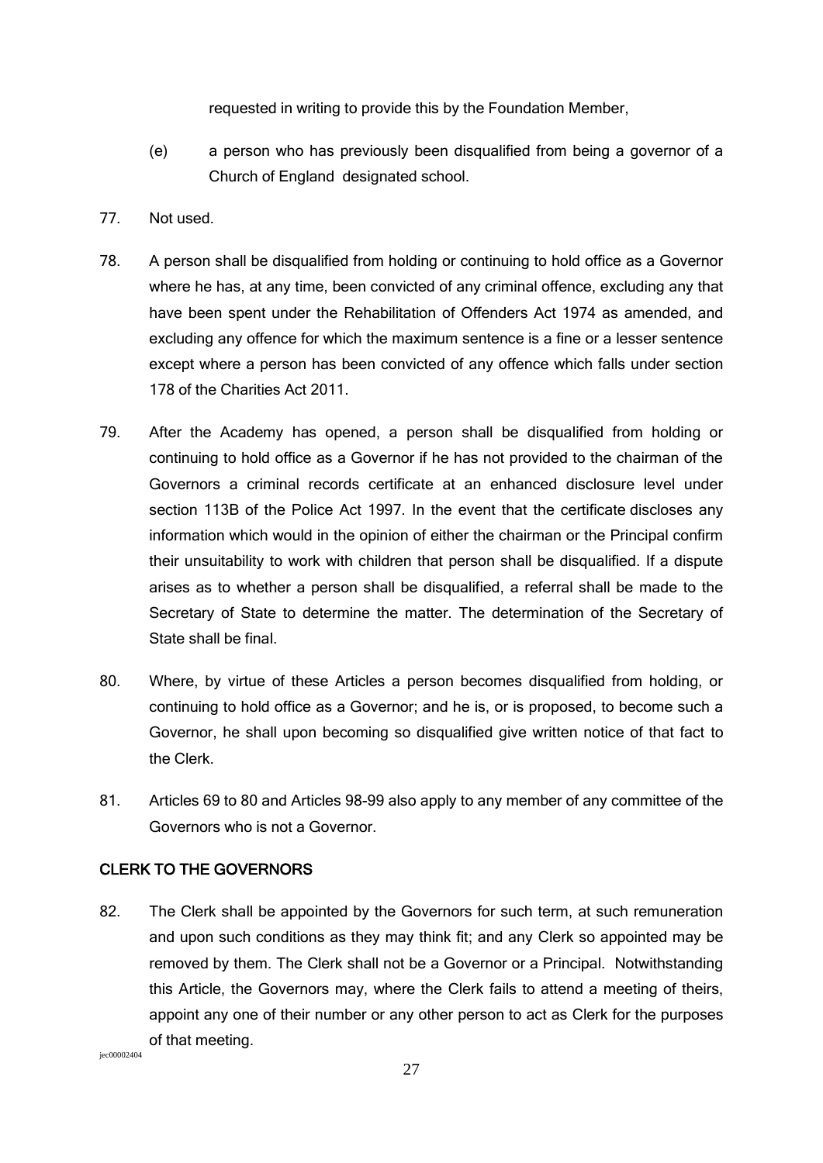requested in writing to provide this by the Foundation Member,

- (e) a person who has previously been disqualified from being a governor of a Church of England designated school.
- 77. Not used.
- 78. A person shall be disqualified from holding or continuing to hold office as a Governor where he has, at any time, been convicted of any criminal offence, excluding any that have been spent under the Rehabilitation of Offenders Act 1974 as amended, and excluding any offence for which the maximum sentence is a fine or a lesser sentence except where a person has been convicted of any offence which falls under section 178 of the Charities Act 2011.
- 79. After the Academy has opened, a person shall be disqualified from holding or continuing to hold office as a Governor if he has not provided to the chairman of the Governors a criminal records certificate at an enhanced disclosure level under section 113B of the Police Act 1997. In the event that the certificate discloses any information which would in the opinion of either the chairman or the Principal confirm their unsuitability to work with children that person shall be disqualified. If a dispute arises as to whether a person shall be disqualified, a referral shall be made to the Secretary of State to determine the matter. The determination of the Secretary of State shall be final.
- 80. Where, by virtue of these Articles a person becomes disqualified from holding, or continuing to hold office as a Governor; and he is, or is proposed, to become such a Governor, he shall upon becoming so disqualified give written notice of that fact to the Clerk.
- 81. Articles 69 to 80 and Articles 98-99 also apply to any member of any committee of the Governors who is not a Governor.

### CLERK TO THE GOVERNORS

82. The Clerk shall be appointed by the Governors for such term, at such remuneration and upon such conditions as they may think fit; and any Clerk so appointed may be removed by them. The Clerk shall not be a Governor or a Principal. Notwithstanding this Article, the Governors may, where the Clerk fails to attend a meeting of theirs, appoint any one of their number or any other person to act as Clerk for the purposes of that meeting.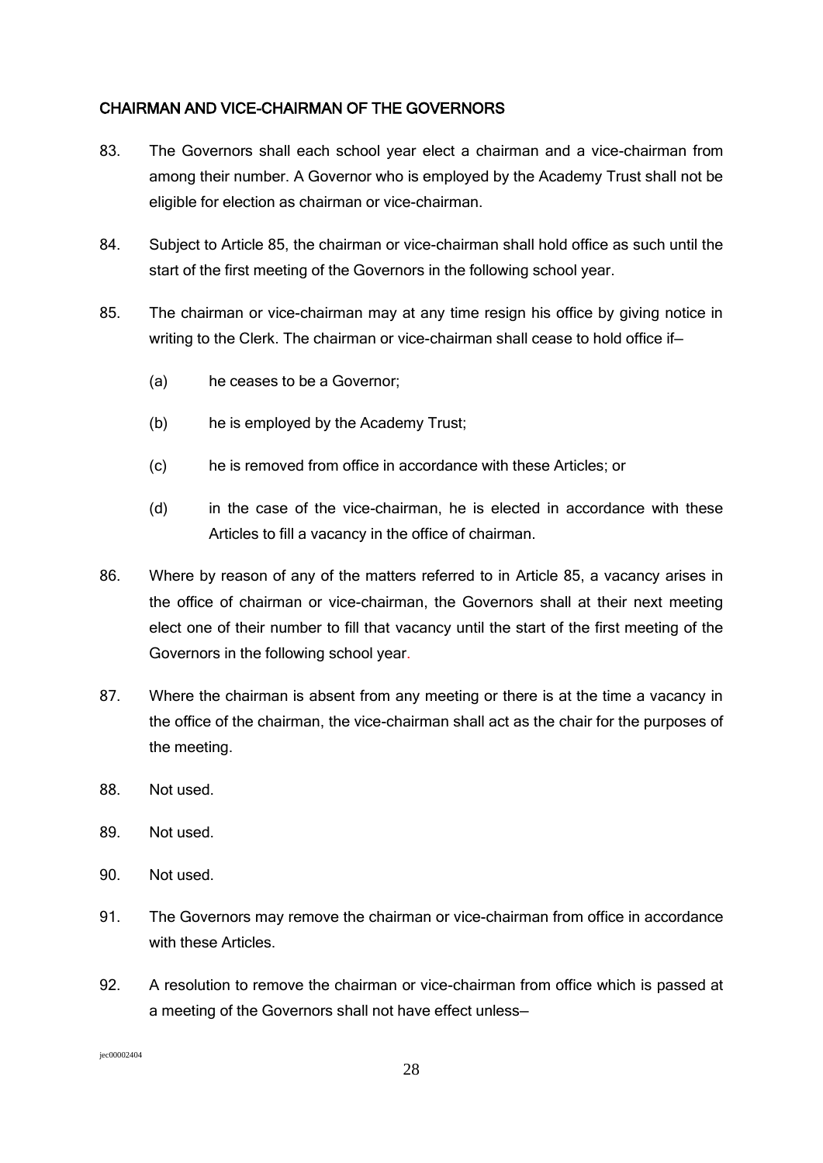### CHAIRMAN AND VICE-CHAIRMAN OF THE GOVERNORS

- 83. The Governors shall each school year elect a chairman and a vice-chairman from among their number. A Governor who is employed by the Academy Trust shall not be eligible for election as chairman or vice-chairman.
- 84. Subject to Article 85, the chairman or vice-chairman shall hold office as such until the start of the first meeting of the Governors in the following school year.
- 85. The chairman or vice-chairman may at any time resign his office by giving notice in writing to the Clerk. The chairman or vice-chairman shall cease to hold office if—
	- (a) he ceases to be a Governor;
	- (b) he is employed by the Academy Trust;
	- (c) he is removed from office in accordance with these Articles; or
	- (d) in the case of the vice-chairman, he is elected in accordance with these Articles to fill a vacancy in the office of chairman.
- 86. Where by reason of any of the matters referred to in Article 85, a vacancy arises in the office of chairman or vice-chairman, the Governors shall at their next meeting elect one of their number to fill that vacancy until the start of the first meeting of the Governors in the following school year.
- 87. Where the chairman is absent from any meeting or there is at the time a vacancy in the office of the chairman, the vice-chairman shall act as the chair for the purposes of the meeting.
- 88. Not used.
- 89. Not used.
- 90. Not used.
- 91. The Governors may remove the chairman or vice-chairman from office in accordance with these Articles.
- 92. A resolution to remove the chairman or vice-chairman from office which is passed at a meeting of the Governors shall not have effect unless—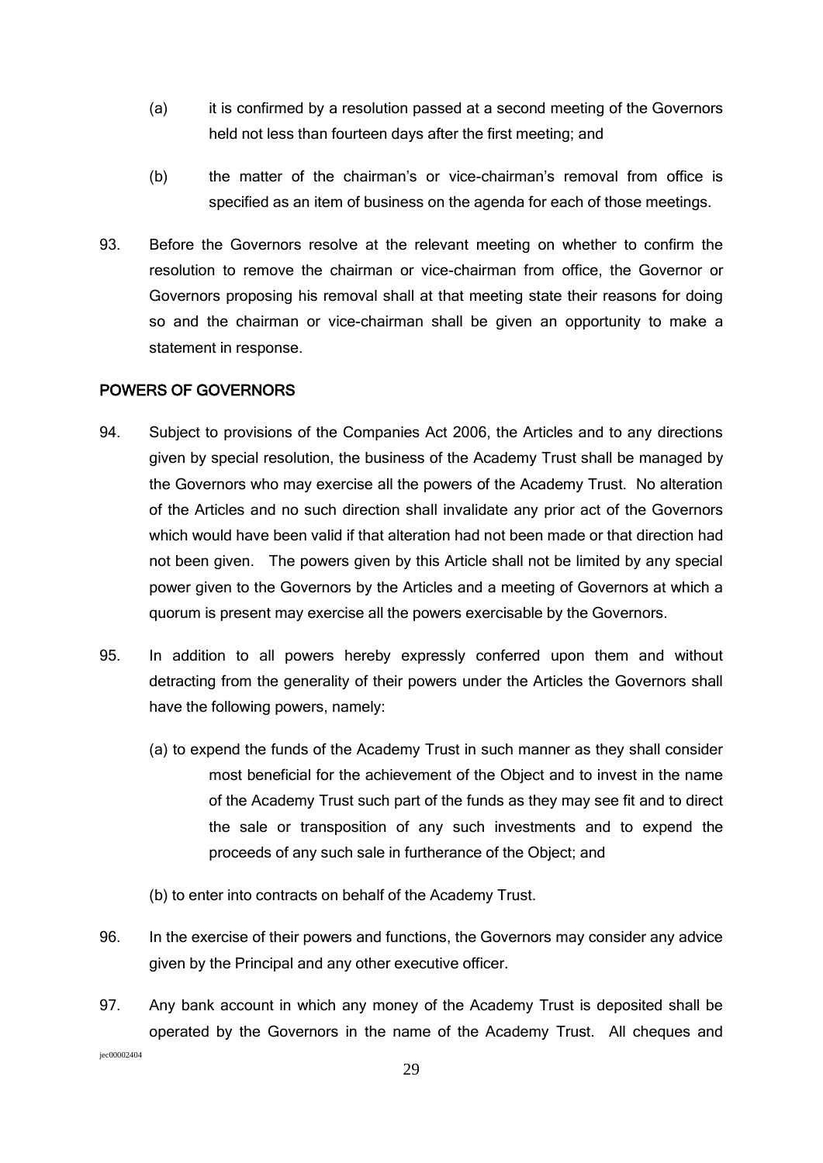- (a) it is confirmed by a resolution passed at a second meeting of the Governors held not less than fourteen days after the first meeting; and
- (b) the matter of the chairman's or vice-chairman's removal from office is specified as an item of business on the agenda for each of those meetings.
- 93. Before the Governors resolve at the relevant meeting on whether to confirm the resolution to remove the chairman or vice-chairman from office, the Governor or Governors proposing his removal shall at that meeting state their reasons for doing so and the chairman or vice-chairman shall be given an opportunity to make a statement in response.

#### POWERS OF GOVERNORS

- 94. Subject to provisions of the Companies Act 2006, the Articles and to any directions given by special resolution, the business of the Academy Trust shall be managed by the Governors who may exercise all the powers of the Academy Trust. No alteration of the Articles and no such direction shall invalidate any prior act of the Governors which would have been valid if that alteration had not been made or that direction had not been given. The powers given by this Article shall not be limited by any special power given to the Governors by the Articles and a meeting of Governors at which a quorum is present may exercise all the powers exercisable by the Governors.
- 95. In addition to all powers hereby expressly conferred upon them and without detracting from the generality of their powers under the Articles the Governors shall have the following powers, namely:
	- (a) to expend the funds of the Academy Trust in such manner as they shall consider most beneficial for the achievement of the Object and to invest in the name of the Academy Trust such part of the funds as they may see fit and to direct the sale or transposition of any such investments and to expend the proceeds of any such sale in furtherance of the Object; and
	- (b) to enter into contracts on behalf of the Academy Trust.
- 96. In the exercise of their powers and functions, the Governors may consider any advice given by the Principal and any other executive officer.
- 97. Any bank account in which any money of the Academy Trust is deposited shall be operated by the Governors in the name of the Academy Trust. All cheques and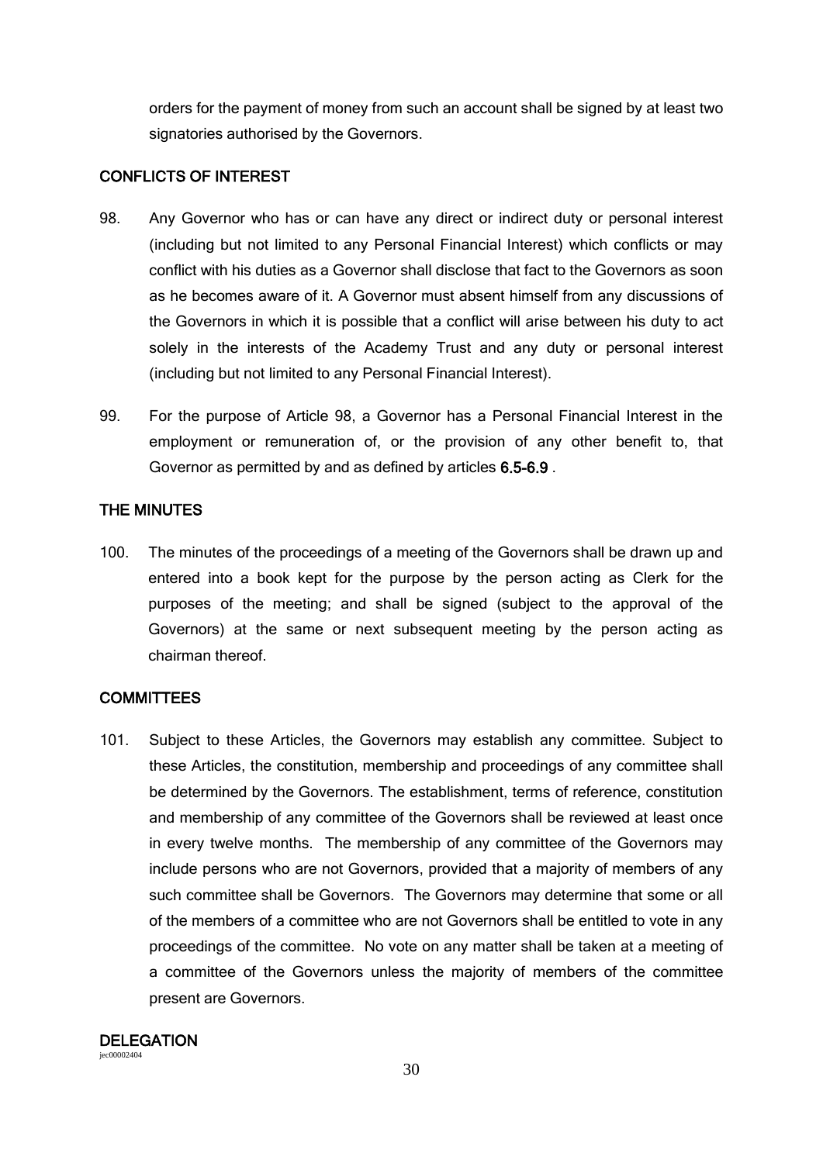orders for the payment of money from such an account shall be signed by at least two signatories authorised by the Governors.

### CONFLICTS OF INTEREST

- 98. Any Governor who has or can have any direct or indirect duty or personal interest (including but not limited to any Personal Financial Interest) which conflicts or may conflict with his duties as a Governor shall disclose that fact to the Governors as soon as he becomes aware of it. A Governor must absent himself from any discussions of the Governors in which it is possible that a conflict will arise between his duty to act solely in the interests of the Academy Trust and any duty or personal interest (including but not limited to any Personal Financial Interest).
- 99. For the purpose of Article 98, a Governor has a Personal Financial Interest in the employment or remuneration of, or the provision of any other benefit to, that Governor as permitted by and as defined by articles 6.5-6.9 .

## THE MINUTES

100. The minutes of the proceedings of a meeting of the Governors shall be drawn up and entered into a book kept for the purpose by the person acting as Clerk for the purposes of the meeting; and shall be signed (subject to the approval of the Governors) at the same or next subsequent meeting by the person acting as chairman thereof.

## **COMMITTEES**

101. Subject to these Articles, the Governors may establish any committee. Subject to these Articles, the constitution, membership and proceedings of any committee shall be determined by the Governors. The establishment, terms of reference, constitution and membership of any committee of the Governors shall be reviewed at least once in every twelve months. The membership of any committee of the Governors may include persons who are not Governors, provided that a majority of members of any such committee shall be Governors. The Governors may determine that some or all of the members of a committee who are not Governors shall be entitled to vote in any proceedings of the committee. No vote on any matter shall be taken at a meeting of a committee of the Governors unless the majority of members of the committee present are Governors.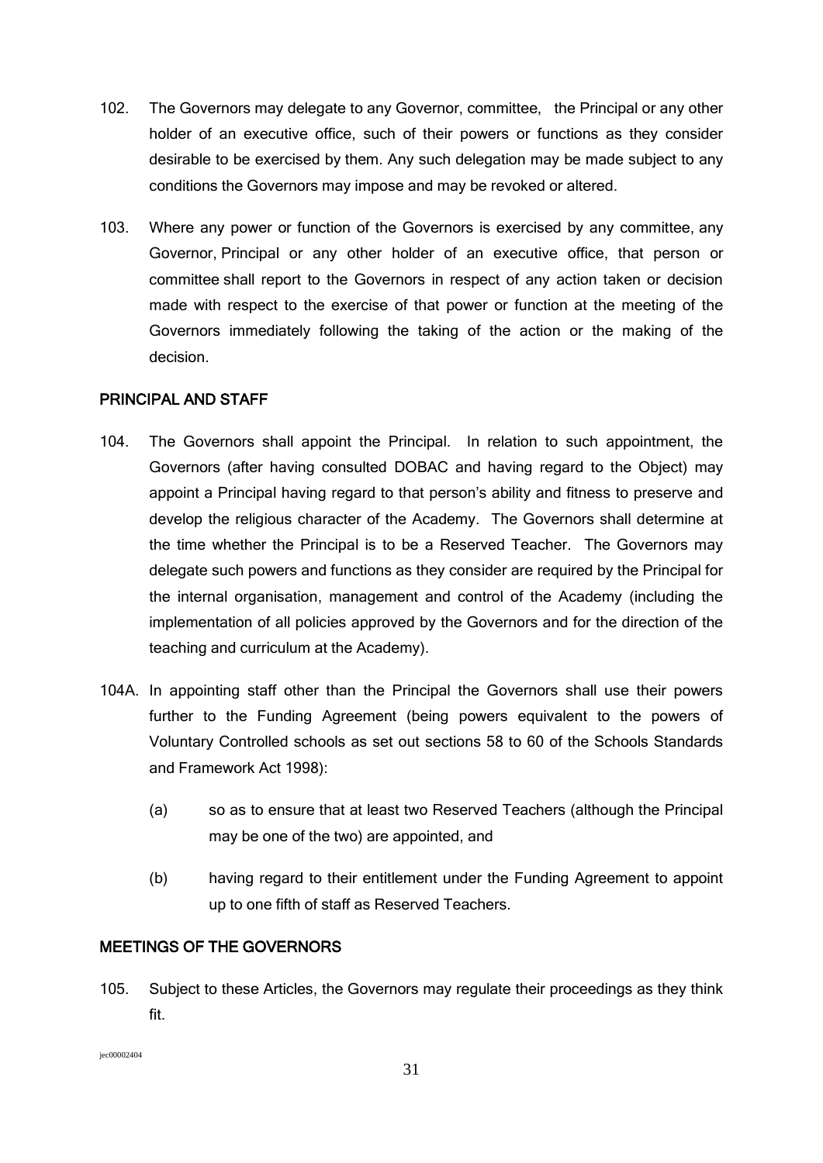- 102. The Governors may delegate to any Governor, committee, the Principal or any other holder of an executive office, such of their powers or functions as they consider desirable to be exercised by them. Any such delegation may be made subject to any conditions the Governors may impose and may be revoked or altered.
- 103. Where any power or function of the Governors is exercised by any committee, any Governor, Principal or any other holder of an executive office, that person or committee shall report to the Governors in respect of any action taken or decision made with respect to the exercise of that power or function at the meeting of the Governors immediately following the taking of the action or the making of the decision.

### PRINCIPAL AND STAFF

- 104. The Governors shall appoint the Principal. In relation to such appointment, the Governors (after having consulted DOBAC and having regard to the Object) may appoint a Principal having regard to that person's ability and fitness to preserve and develop the religious character of the Academy. The Governors shall determine at the time whether the Principal is to be a Reserved Teacher. The Governors may delegate such powers and functions as they consider are required by the Principal for the internal organisation, management and control of the Academy (including the implementation of all policies approved by the Governors and for the direction of the teaching and curriculum at the Academy).
- 104A. In appointing staff other than the Principal the Governors shall use their powers further to the Funding Agreement (being powers equivalent to the powers of Voluntary Controlled schools as set out sections 58 to 60 of the Schools Standards and Framework Act 1998):
	- (a) so as to ensure that at least two Reserved Teachers (although the Principal may be one of the two) are appointed, and
	- (b) having regard to their entitlement under the Funding Agreement to appoint up to one fifth of staff as Reserved Teachers.

### MEETINGS OF THE GOVERNORS

105. Subject to these Articles, the Governors may regulate their proceedings as they think fit.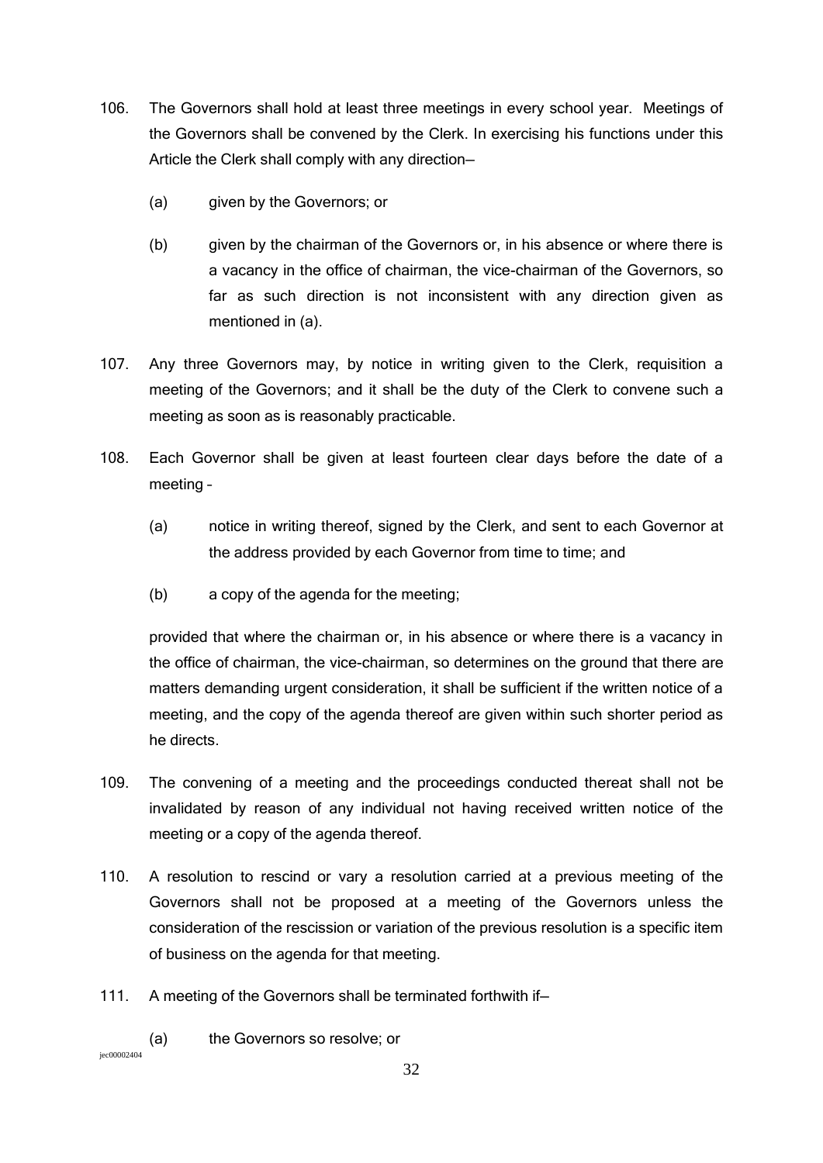- 106. The Governors shall hold at least three meetings in every school year. Meetings of the Governors shall be convened by the Clerk. In exercising his functions under this Article the Clerk shall comply with any direction—
	- (a) given by the Governors; or
	- (b) given by the chairman of the Governors or, in his absence or where there is a vacancy in the office of chairman, the vice-chairman of the Governors, so far as such direction is not inconsistent with any direction given as mentioned in (a).
- 107. Any three Governors may, by notice in writing given to the Clerk, requisition a meeting of the Governors; and it shall be the duty of the Clerk to convene such a meeting as soon as is reasonably practicable.
- 108. Each Governor shall be given at least fourteen clear days before the date of a meeting –
	- (a) notice in writing thereof, signed by the Clerk, and sent to each Governor at the address provided by each Governor from time to time; and
	- (b) a copy of the agenda for the meeting;

provided that where the chairman or, in his absence or where there is a vacancy in the office of chairman, the vice-chairman, so determines on the ground that there are matters demanding urgent consideration, it shall be sufficient if the written notice of a meeting, and the copy of the agenda thereof are given within such shorter period as he directs.

- 109. The convening of a meeting and the proceedings conducted thereat shall not be invalidated by reason of any individual not having received written notice of the meeting or a copy of the agenda thereof.
- 110. A resolution to rescind or vary a resolution carried at a previous meeting of the Governors shall not be proposed at a meeting of the Governors unless the consideration of the rescission or variation of the previous resolution is a specific item of business on the agenda for that meeting.
- 111. A meeting of the Governors shall be terminated forthwith if—
	- (a) the Governors so resolve; or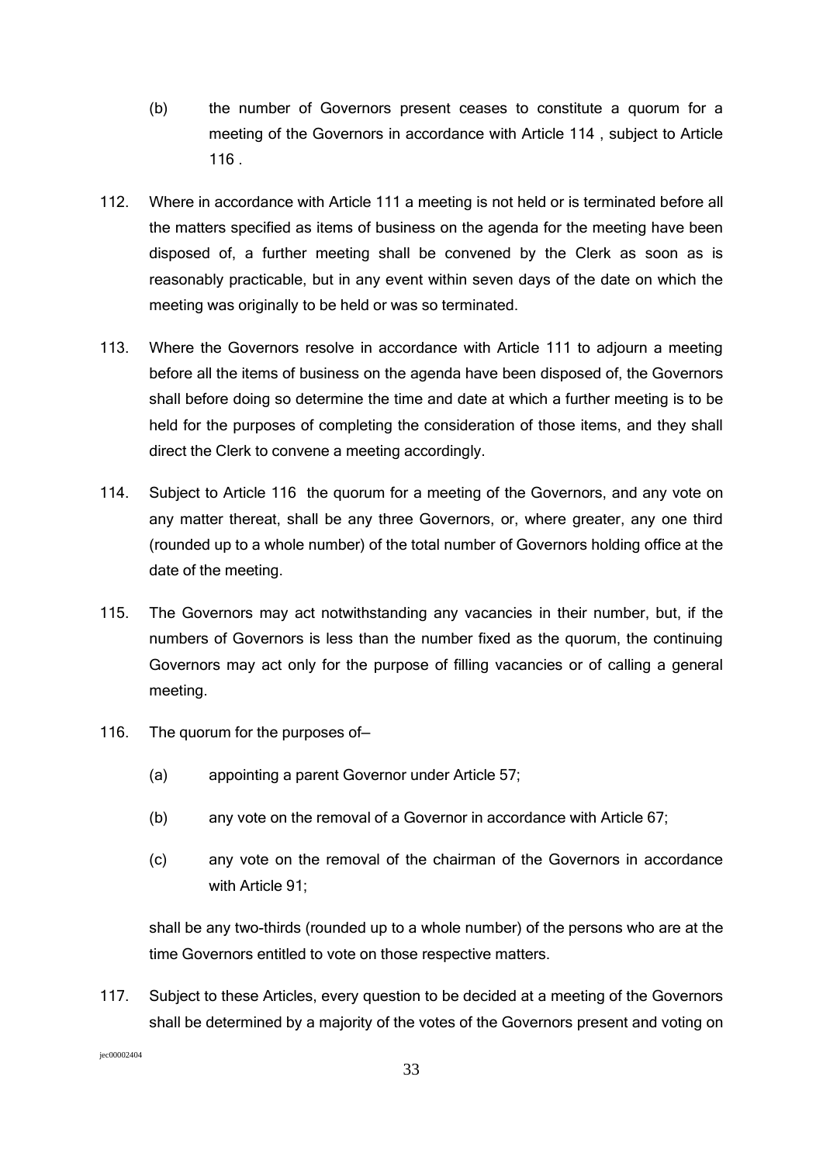- (b) the number of Governors present ceases to constitute a quorum for a meeting of the Governors in accordance with Article 114 , subject to Article 116 .
- 112. Where in accordance with Article 111 a meeting is not held or is terminated before all the matters specified as items of business on the agenda for the meeting have been disposed of, a further meeting shall be convened by the Clerk as soon as is reasonably practicable, but in any event within seven days of the date on which the meeting was originally to be held or was so terminated.
- 113. Where the Governors resolve in accordance with Article 111 to adjourn a meeting before all the items of business on the agenda have been disposed of, the Governors shall before doing so determine the time and date at which a further meeting is to be held for the purposes of completing the consideration of those items, and they shall direct the Clerk to convene a meeting accordingly.
- 114. Subject to Article 116 the quorum for a meeting of the Governors, and any vote on any matter thereat, shall be any three Governors, or, where greater, any one third (rounded up to a whole number) of the total number of Governors holding office at the date of the meeting.
- 115. The Governors may act notwithstanding any vacancies in their number, but, if the numbers of Governors is less than the number fixed as the quorum, the continuing Governors may act only for the purpose of filling vacancies or of calling a general meeting.
- 116. The quorum for the purposes of-
	- (a) appointing a parent Governor under Article 57;
	- (b) any vote on the removal of a Governor in accordance with Article 67;
	- (c) any vote on the removal of the chairman of the Governors in accordance with Article 91:

shall be any two-thirds (rounded up to a whole number) of the persons who are at the time Governors entitled to vote on those respective matters.

117. Subject to these Articles, every question to be decided at a meeting of the Governors shall be determined by a majority of the votes of the Governors present and voting on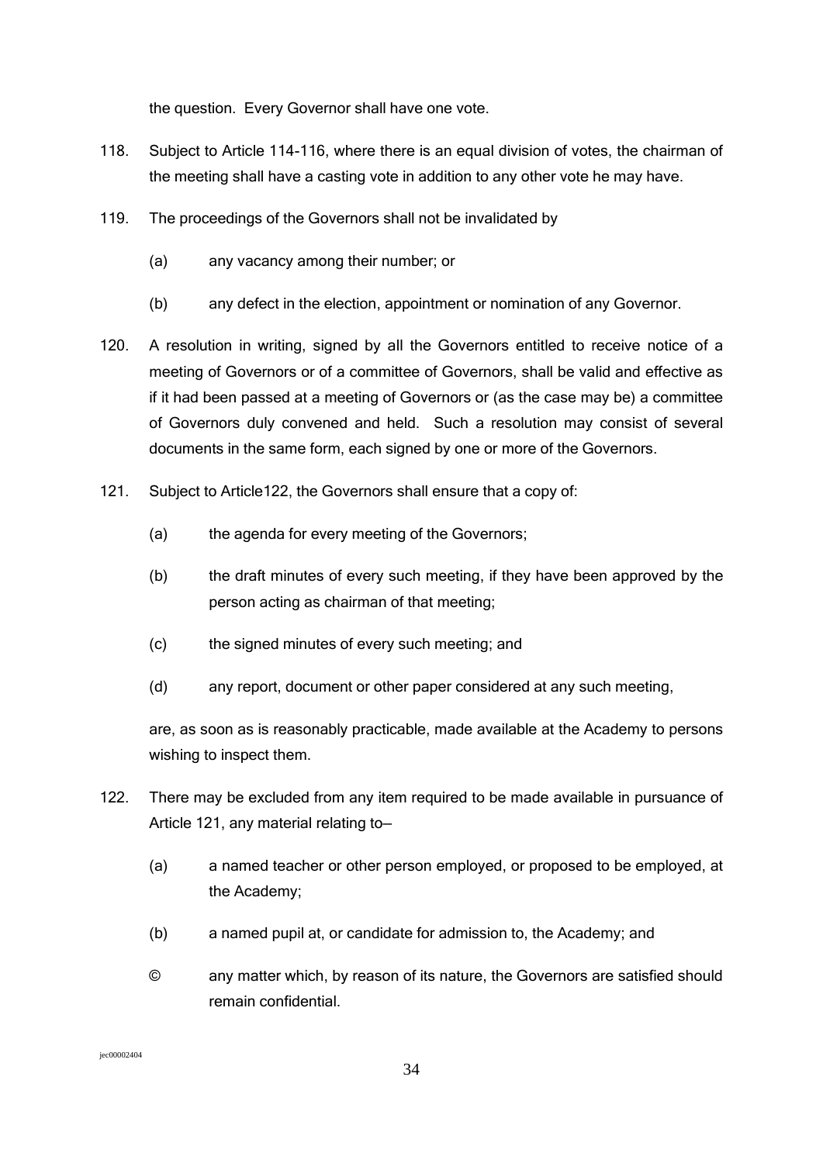the question. Every Governor shall have one vote.

- 118. Subject to Article 114-116, where there is an equal division of votes, the chairman of the meeting shall have a casting vote in addition to any other vote he may have.
- 119. The proceedings of the Governors shall not be invalidated by
	- (a) any vacancy among their number; or
	- (b) any defect in the election, appointment or nomination of any Governor.
- 120. A resolution in writing, signed by all the Governors entitled to receive notice of a meeting of Governors or of a committee of Governors, shall be valid and effective as if it had been passed at a meeting of Governors or (as the case may be) a committee of Governors duly convened and held. Such a resolution may consist of several documents in the same form, each signed by one or more of the Governors.
- 121. Subject to Article122, the Governors shall ensure that a copy of:
	- (a) the agenda for every meeting of the Governors;
	- (b) the draft minutes of every such meeting, if they have been approved by the person acting as chairman of that meeting;
	- (c) the signed minutes of every such meeting; and
	- (d) any report, document or other paper considered at any such meeting,

are, as soon as is reasonably practicable, made available at the Academy to persons wishing to inspect them.

- 122. There may be excluded from any item required to be made available in pursuance of Article 121, any material relating to—
	- (a) a named teacher or other person employed, or proposed to be employed, at the Academy;
	- (b) a named pupil at, or candidate for admission to, the Academy; and
	- © any matter which, by reason of its nature, the Governors are satisfied should remain confidential.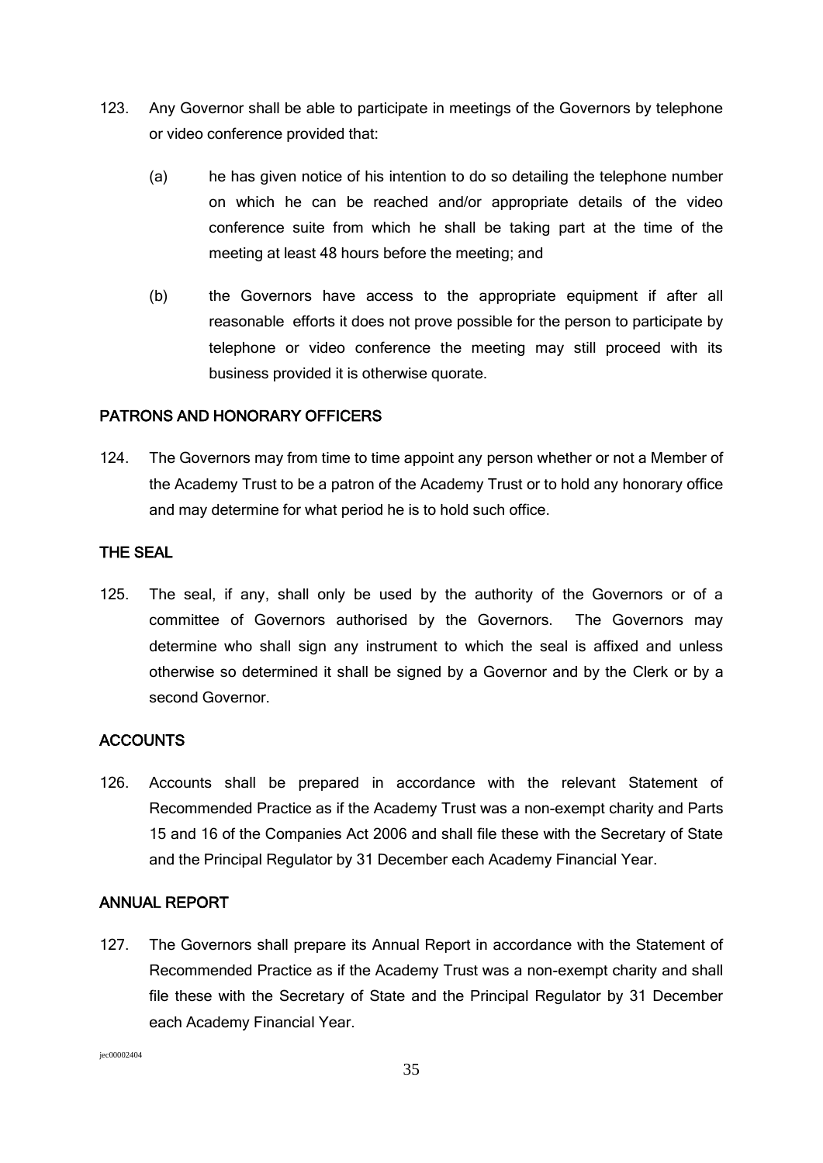- 123. Any Governor shall be able to participate in meetings of the Governors by telephone or video conference provided that:
	- (a) he has given notice of his intention to do so detailing the telephone number on which he can be reached and/or appropriate details of the video conference suite from which he shall be taking part at the time of the meeting at least 48 hours before the meeting; and
	- (b) the Governors have access to the appropriate equipment if after all reasonable efforts it does not prove possible for the person to participate by telephone or video conference the meeting may still proceed with its business provided it is otherwise quorate.

### PATRONS AND HONORARY OFFICERS

124. The Governors may from time to time appoint any person whether or not a Member of the Academy Trust to be a patron of the Academy Trust or to hold any honorary office and may determine for what period he is to hold such office.

### THE SEAL

125. The seal, if any, shall only be used by the authority of the Governors or of a committee of Governors authorised by the Governors. The Governors may determine who shall sign any instrument to which the seal is affixed and unless otherwise so determined it shall be signed by a Governor and by the Clerk or by a second Governor.

## **ACCOUNTS**

126. Accounts shall be prepared in accordance with the relevant Statement of Recommended Practice as if the Academy Trust was a non-exempt charity and Parts 15 and 16 of the Companies Act 2006 and shall file these with the Secretary of State and the Principal Regulator by 31 December each Academy Financial Year.

### ANNUAL REPORT

127. The Governors shall prepare its Annual Report in accordance with the Statement of Recommended Practice as if the Academy Trust was a non-exempt charity and shall file these with the Secretary of State and the Principal Regulator by 31 December each Academy Financial Year.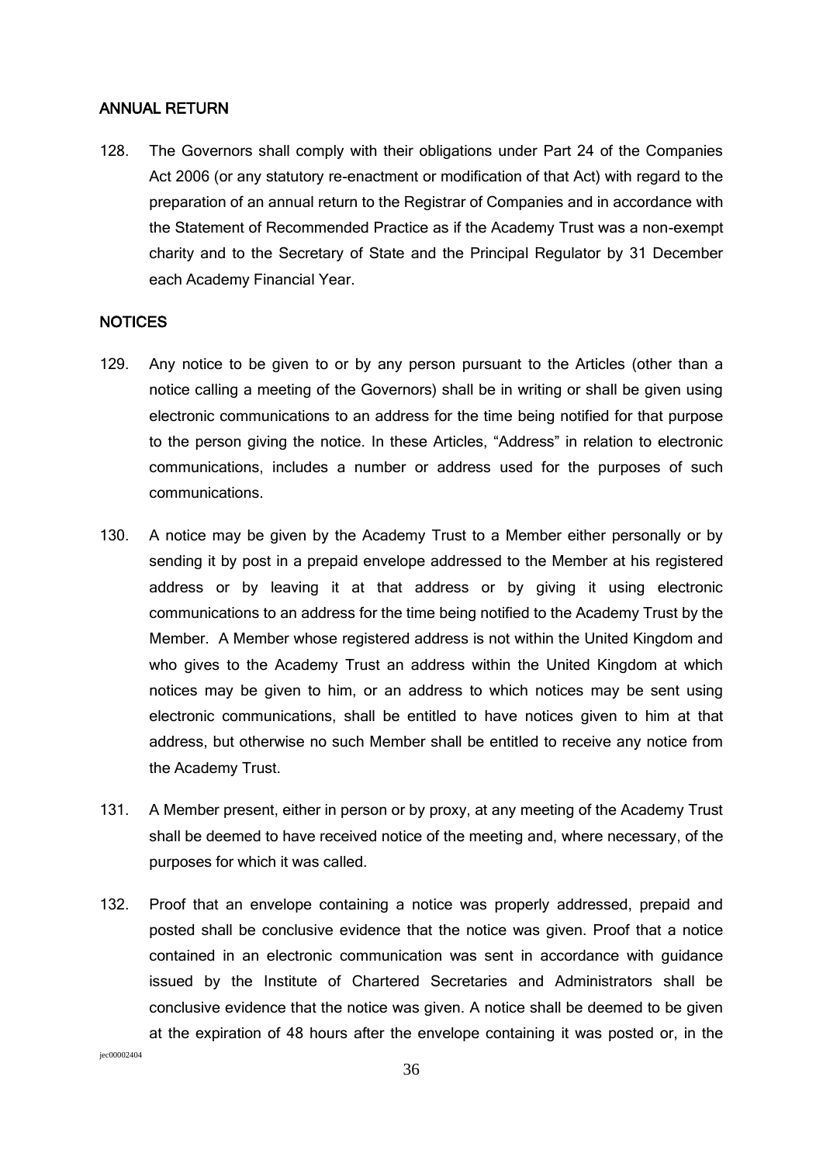#### ANNUAL RETURN

128. The Governors shall comply with their obligations under Part 24 of the Companies Act 2006 (or any statutory re-enactment or modification of that Act) with regard to the preparation of an annual return to the Registrar of Companies and in accordance with the Statement of Recommended Practice as if the Academy Trust was a non-exempt charity and to the Secretary of State and the Principal Regulator by 31 December each Academy Financial Year.

#### **NOTICES**

- 129. Any notice to be given to or by any person pursuant to the Articles (other than a notice calling a meeting of the Governors) shall be in writing or shall be given using electronic communications to an address for the time being notified for that purpose to the person giving the notice. In these Articles, "Address" in relation to electronic communications, includes a number or address used for the purposes of such communications.
- 130. A notice may be given by the Academy Trust to a Member either personally or by sending it by post in a prepaid envelope addressed to the Member at his registered address or by leaving it at that address or by giving it using electronic communications to an address for the time being notified to the Academy Trust by the Member. A Member whose registered address is not within the United Kingdom and who gives to the Academy Trust an address within the United Kingdom at which notices may be given to him, or an address to which notices may be sent using electronic communications, shall be entitled to have notices given to him at that address, but otherwise no such Member shall be entitled to receive any notice from the Academy Trust.
- 131. A Member present, either in person or by proxy, at any meeting of the Academy Trust shall be deemed to have received notice of the meeting and, where necessary, of the purposes for which it was called.
- 132. Proof that an envelope containing a notice was properly addressed, prepaid and posted shall be conclusive evidence that the notice was given. Proof that a notice contained in an electronic communication was sent in accordance with guidance issued by the Institute of Chartered Secretaries and Administrators shall be conclusive evidence that the notice was given. A notice shall be deemed to be given at the expiration of 48 hours after the envelope containing it was posted or, in the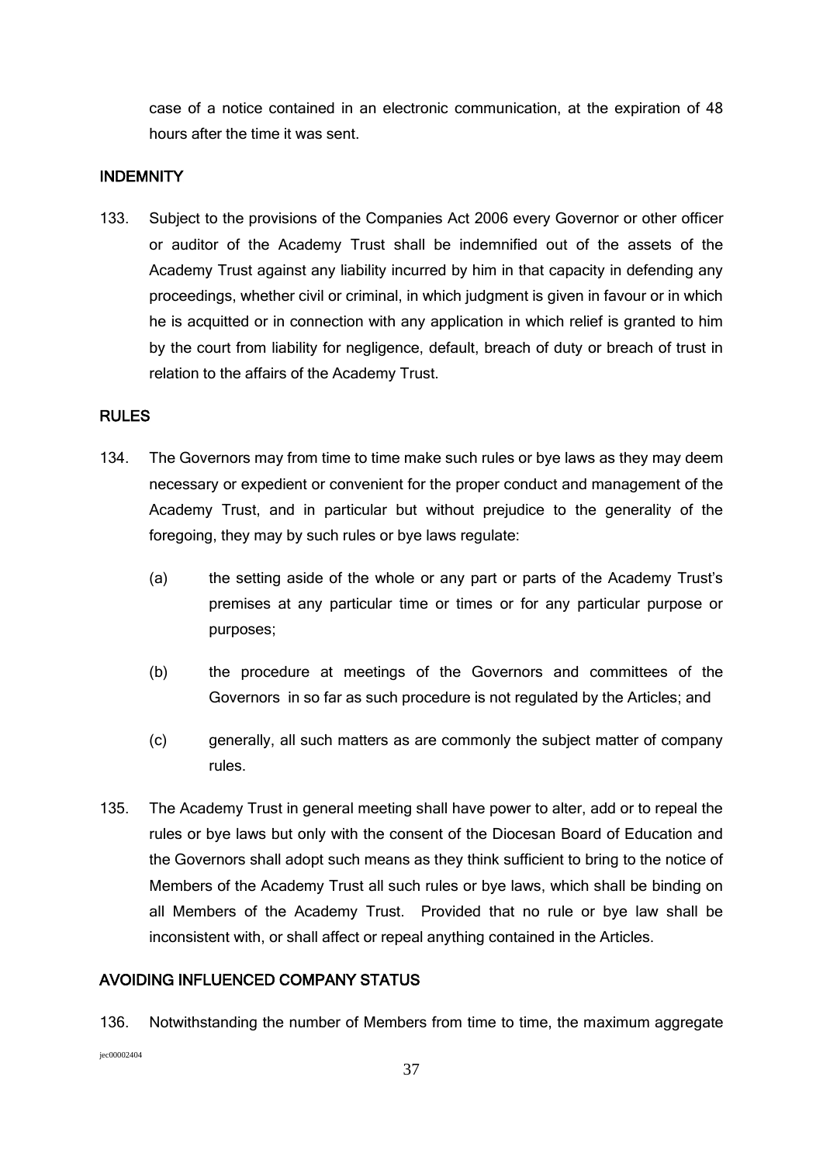case of a notice contained in an electronic communication, at the expiration of 48 hours after the time it was sent.

### **INDEMNITY**

133. Subject to the provisions of the Companies Act 2006 every Governor or other officer or auditor of the Academy Trust shall be indemnified out of the assets of the Academy Trust against any liability incurred by him in that capacity in defending any proceedings, whether civil or criminal, in which judgment is given in favour or in which he is acquitted or in connection with any application in which relief is granted to him by the court from liability for negligence, default, breach of duty or breach of trust in relation to the affairs of the Academy Trust.

### RULES

- 134. The Governors may from time to time make such rules or bye laws as they may deem necessary or expedient or convenient for the proper conduct and management of the Academy Trust, and in particular but without prejudice to the generality of the foregoing, they may by such rules or bye laws regulate:
	- (a) the setting aside of the whole or any part or parts of the Academy Trust's premises at any particular time or times or for any particular purpose or purposes;
	- (b) the procedure at meetings of the Governors and committees of the Governors in so far as such procedure is not regulated by the Articles; and
	- (c) generally, all such matters as are commonly the subject matter of company rules.
- 135. The Academy Trust in general meeting shall have power to alter, add or to repeal the rules or bye laws but only with the consent of the Diocesan Board of Education and the Governors shall adopt such means as they think sufficient to bring to the notice of Members of the Academy Trust all such rules or bye laws, which shall be binding on all Members of the Academy Trust. Provided that no rule or bye law shall be inconsistent with, or shall affect or repeal anything contained in the Articles.

### AVOIDING INFLUENCED COMPANY STATUS

jec00002404 136. Notwithstanding the number of Members from time to time, the maximum aggregate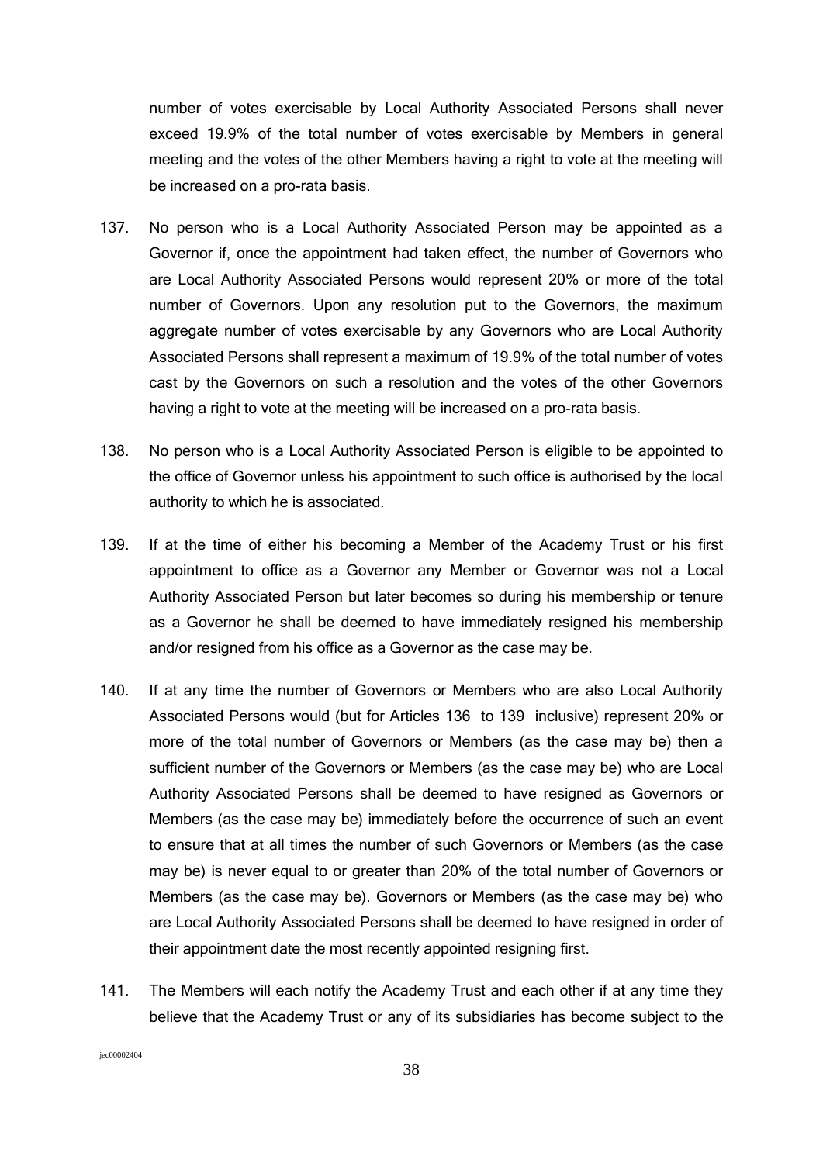number of votes exercisable by Local Authority Associated Persons shall never exceed 19.9% of the total number of votes exercisable by Members in general meeting and the votes of the other Members having a right to vote at the meeting will be increased on a pro-rata basis.

- 137. No person who is a Local Authority Associated Person may be appointed as a Governor if, once the appointment had taken effect, the number of Governors who are Local Authority Associated Persons would represent 20% or more of the total number of Governors. Upon any resolution put to the Governors, the maximum aggregate number of votes exercisable by any Governors who are Local Authority Associated Persons shall represent a maximum of 19.9% of the total number of votes cast by the Governors on such a resolution and the votes of the other Governors having a right to vote at the meeting will be increased on a pro-rata basis.
- 138. No person who is a Local Authority Associated Person is eligible to be appointed to the office of Governor unless his appointment to such office is authorised by the local authority to which he is associated.
- 139. If at the time of either his becoming a Member of the Academy Trust or his first appointment to office as a Governor any Member or Governor was not a Local Authority Associated Person but later becomes so during his membership or tenure as a Governor he shall be deemed to have immediately resigned his membership and/or resigned from his office as a Governor as the case may be.
- 140. If at any time the number of Governors or Members who are also Local Authority Associated Persons would (but for Articles 136 to 139 inclusive) represent 20% or more of the total number of Governors or Members (as the case may be) then a sufficient number of the Governors or Members (as the case may be) who are Local Authority Associated Persons shall be deemed to have resigned as Governors or Members (as the case may be) immediately before the occurrence of such an event to ensure that at all times the number of such Governors or Members (as the case may be) is never equal to or greater than 20% of the total number of Governors or Members (as the case may be). Governors or Members (as the case may be) who are Local Authority Associated Persons shall be deemed to have resigned in order of their appointment date the most recently appointed resigning first.
- 141. The Members will each notify the Academy Trust and each other if at any time they believe that the Academy Trust or any of its subsidiaries has become subject to the